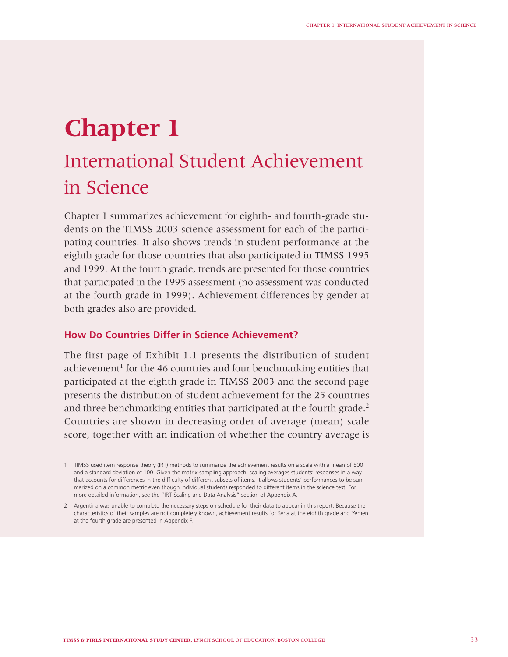# **Chapter 1**

# International Student Achievement in Science

Chapter 1 summarizes achievement for eighth- and fourth-grade students on the TIMSS 2003 science assessment for each of the participating countries. It also shows trends in student performance at the eighth grade for those countries that also participated in TIMSS 1995 and 1999. At the fourth grade, trends are presented for those countries that participated in the 1995 assessment (no assessment was conducted at the fourth grade in 1999). Achievement differences by gender at both grades also are provided.

## **How Do Countries Differ in Science Achievement?**

The first page of Exhibit 1.1 presents the distribution of student achievement<sup>1</sup> for the 46 countries and four benchmarking entities that participated at the eighth grade in TIMSS 2003 and the second page presents the distribution of student achievement for the 25 countries and three benchmarking entities that participated at the fourth grade.<sup>2</sup> Countries are shown in decreasing order of average (mean) scale score, together with an indication of whether the country average is

<sup>1</sup> TIMSS used item response theory (IRT) methods to summarize the achievement results on a scale with a mean of 500 and a standard deviation of 100. Given the matrix-sampling approach, scaling averages students' responses in a way that accounts for differences in the difficulty of different subsets of items. It allows students' performances to be summarized on a common metric even though individual students responded to different items in the science test. For more detailed information, see the "IRT Scaling and Data Analysis" section of Appendix A.

<sup>2</sup> Argentina was unable to complete the necessary steps on schedule for their data to appear in this report. Because the characteristics of their samples are not completely known, achievement results for Syria at the eighth grade and Yemen at the fourth grade are presented in Appendix F.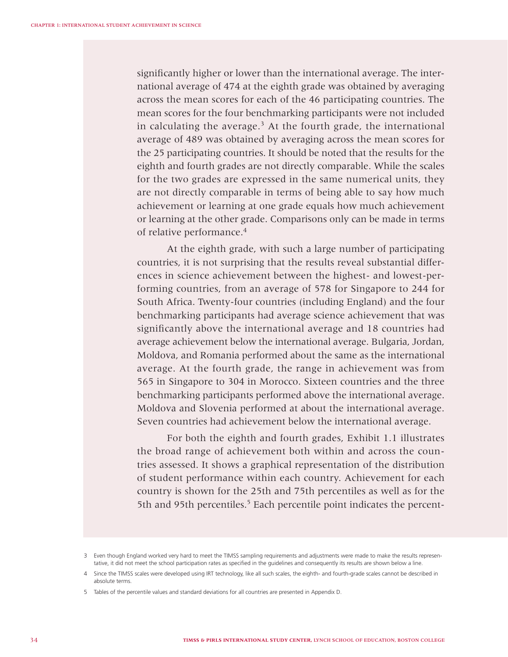significantly higher or lower than the international average. The international average of 474 at the eighth grade was obtained by averaging across the mean scores for each of the 46 participating countries. The mean scores for the four benchmarking participants were not included in calculating the average.<sup>3</sup> At the fourth grade, the international average of 489 was obtained by averaging across the mean scores for the 25 participating countries. It should be noted that the results for the eighth and fourth grades are not directly comparable. While the scales for the two grades are expressed in the same numerical units, they are not directly comparable in terms of being able to say how much achievement or learning at one grade equals how much achievement or learning at the other grade. Comparisons only can be made in terms of relative performance.4

At the eighth grade, with such a large number of participating countries, it is not surprising that the results reveal substantial differences in science achievement between the highest- and lowest-performing countries, from an average of 578 for Singapore to 244 for South Africa. Twenty-four countries (including England) and the four benchmarking participants had average science achievement that was significantly above the international average and 18 countries had average achievement below the international average. Bulgaria, Jordan, Moldova, and Romania performed about the same as the international average. At the fourth grade, the range in achievement was from 565 in Singapore to 304 in Morocco. Sixteen countries and the three benchmarking participants performed above the international average. Moldova and Slovenia performed at about the international average. Seven countries had achievement below the international average.

For both the eighth and fourth grades, Exhibit 1.1 illustrates the broad range of achievement both within and across the countries assessed. It shows a graphical representation of the distribution of student performance within each country. Achievement for each country is shown for the 25th and 75th percentiles as well as for the 5th and 95th percentiles.<sup>5</sup> Each percentile point indicates the percent-

<sup>3</sup> Even though England worked very hard to meet the TIMSS sampling requirements and adjustments were made to make the results representative, it did not meet the school participation rates as specified in the quidelines and consequently its results are shown below a line.

<sup>4</sup> Since the TIMSS scales were developed using IRT technology, like all such scales, the eighth- and fourth-grade scales cannot be described in absolute terms.

<sup>5</sup> Tables of the percentile values and standard deviations for all countries are presented in Appendix D.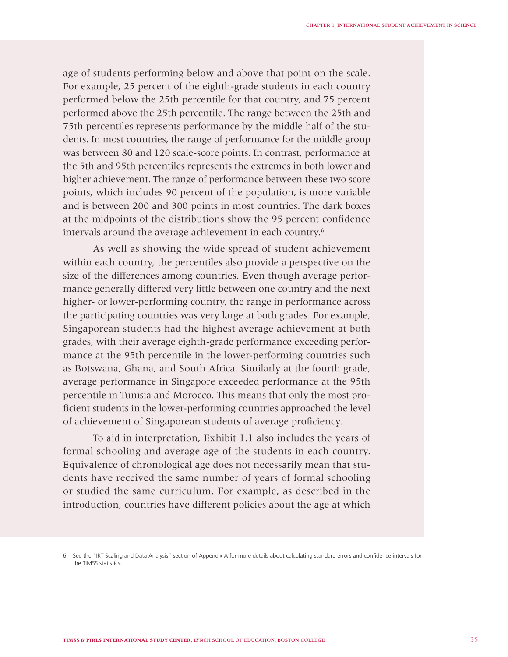age of students performing below and above that point on the scale. For example, 25 percent of the eighth-grade students in each country performed below the 25th percentile for that country, and 75 percent performed above the 25th percentile. The range between the 25th and 75th percentiles represents performance by the middle half of the students. In most countries, the range of performance for the middle group was between 80 and 120 scale-score points. In contrast, performance at the 5th and 95th percentiles represents the extremes in both lower and higher achievement. The range of performance between these two score points, which includes 90 percent of the population, is more variable and is between 200 and 300 points in most countries. The dark boxes at the midpoints of the distributions show the 95 percent confidence intervals around the average achievement in each country.6

As well as showing the wide spread of student achievement within each country, the percentiles also provide a perspective on the size of the differences among countries. Even though average performance generally differed very little between one country and the next higher- or lower-performing country, the range in performance across the participating countries was very large at both grades. For example, Singaporean students had the highest average achievement at both grades, with their average eighth-grade performance exceeding performance at the 95th percentile in the lower-performing countries such as Botswana, Ghana, and South Africa. Similarly at the fourth grade, average performance in Singapore exceeded performance at the 95th percentile in Tunisia and Morocco. This means that only the most proficient students in the lower-performing countries approached the level of achievement of Singaporean students of average proficiency.

To aid in interpretation, Exhibit 1.1 also includes the years of formal schooling and average age of the students in each country. Equivalence of chronological age does not necessarily mean that students have received the same number of years of formal schooling or studied the same curriculum. For example, as described in the introduction, countries have different policies about the age at which

<sup>6</sup> See the "IRT Scaling and Data Analysis" section of Appendix A for more details about calculating standard errors and confidence intervals for the TIMSS statistics.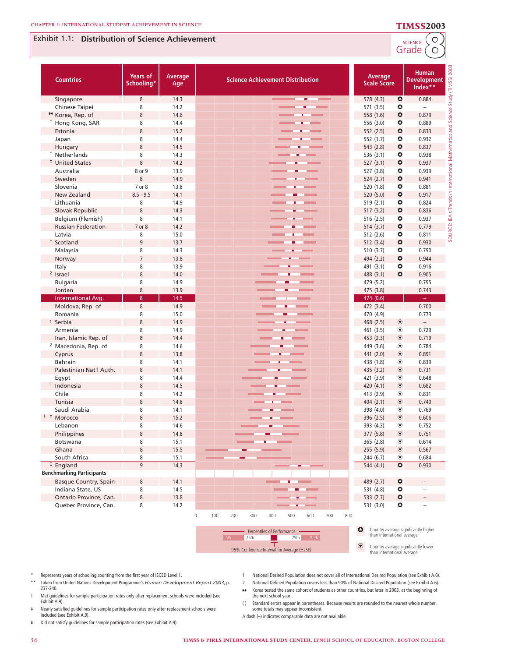### Exhibit 1.1: Distribution of Science Achievement

SCIENCE<sup>C</sup>O

| <b>Countries</b>                  | <b>Years of</b><br>Schooling* | Average<br>Age | <b>Science Achievement Distribution</b>                             | Average<br><b>Scale Score</b> |                              | <b>Human</b><br><b>Development</b><br>Index** |          |
|-----------------------------------|-------------------------------|----------------|---------------------------------------------------------------------|-------------------------------|------------------------------|-----------------------------------------------|----------|
| Singapore                         | $\,8\,$                       | 14.3           | m.<br><b>College College</b>                                        | 578 (4.3)                     | $\bullet$                    | 0.884                                         |          |
| Chinese Taipei                    | 8                             | 14.2           |                                                                     | 571 (3.5)                     | $\bullet$                    |                                               |          |
| <sup>*</sup> Korea, Rep. of       | $\,8\,$                       | 14.6           |                                                                     | 558 (1.6)                     | $\bullet$                    | 0.879                                         |          |
| <sup>†</sup> Hong Kong, SAR       | 8                             | 14.4           |                                                                     | 556 (3.0)                     | $\bullet$                    | 0.889                                         |          |
| Estonia                           | 8                             | 15.2           |                                                                     | 552 (2.5)                     | $\bullet$                    | 0.833                                         |          |
| Japan                             | 8                             | 14.4           |                                                                     | 552 (1.7)                     | $\bullet$                    | 0.932                                         |          |
| Hungary                           | $\,8\,$                       | 14.5           |                                                                     | 543 (2.8)                     | $\bullet$                    | 0.837                                         |          |
| <sup>†</sup> Netherlands          | 8                             | 14.3           |                                                                     | 536 (3.1)                     | ۰                            | 0.938                                         |          |
| <sup>‡</sup> United States        | 8                             | 14.2           |                                                                     | 527(3.1)                      | $\bullet$                    | 0.937                                         |          |
| Australia                         | 8 or 9                        | 13.9           |                                                                     | 527 (3.8)                     | ۰                            | 0.939                                         |          |
| Sweden                            | $\,8\,$                       | 14.9           |                                                                     | 524 (2.7)                     | $\bullet$                    | 0.941                                         |          |
| Slovenia                          | 7 or 8                        | 13.8           |                                                                     | 520 (1.8)                     | $\bullet$                    | 0.881                                         |          |
| New Zealand                       | $8.5 - 9.5$                   | 14.1           |                                                                     | 520 (5.0)                     | $\bullet$                    | 0.917                                         |          |
| <sup>1</sup> Lithuania            | 8                             | 14.9           |                                                                     | 519 (2.1)                     | $\bullet$                    | 0.824                                         |          |
| Slovak Republic                   | $\,8\,$                       | 14.3           |                                                                     | 517 (3.2)                     | $\bullet$                    | 0.836                                         | <b>S</b> |
| Belgium (Flemish)                 | 8                             | 14.1           |                                                                     | 516 (2.5)                     | $\bullet$                    | 0.937                                         | EA       |
| <b>Russian Federation</b>         | 7 or 8                        | 14.2           |                                                                     | 514 (3.7)                     | $\bullet$                    | 0.779                                         | SOURCE:  |
| Latvia                            | 8                             | 15.0           |                                                                     | 512 (2.6)                     | ٥                            | 0.811                                         |          |
| Scotland                          | $\overline{9}$                | 13.7           |                                                                     | 512 (3.4)                     | $\bullet$                    | 0.930                                         |          |
| Malaysia                          | 8                             | 14.3           |                                                                     | 510 (3.7)                     | $\bullet$                    | 0.790                                         |          |
| Norway                            | $\overline{7}$                | 13.8           |                                                                     | 494 (2.2)                     | $\bullet$                    | 0.944                                         |          |
| Italy                             | 8                             | 13.9           |                                                                     | 491 (3.1)                     | $\bullet$                    | 0.916                                         |          |
| <sup>2</sup> Israel               | $\,8\,$                       | 14.0           |                                                                     | 488 (3.1)                     | $\bullet$                    | 0.905                                         |          |
| <b>Bulgaria</b>                   | 8                             | 14.9           |                                                                     | 479 (5.2)                     |                              | 0.795                                         |          |
| Jordan                            | $\,8\,$                       | 13.9           |                                                                     | 475 (3.8)                     |                              | 0.743                                         |          |
| <b>International Avg.</b>         | $\bf 8$                       | 14.5           |                                                                     | 474 (0.6)                     |                              |                                               |          |
| Moldova, Rep. of                  | $\,8\,$                       | 14.9           |                                                                     | 472 (3.4)                     |                              | 0.700                                         |          |
| Romania                           | 8                             | 15.0           |                                                                     | 470 (4.9)                     |                              | 0.773                                         |          |
| <sup>1</sup> Serbia               | $\,8\,$                       | 14.9           |                                                                     | 468 (2.5)                     | $^{\circ}$                   | $\overline{\phantom{a}}$                      |          |
| Armenia                           | 8                             | 14.9           |                                                                     | 461 (3.5)                     | $^\circledR$                 | 0.729                                         |          |
| Iran, Islamic Rep. of             | $\,8\,$                       | 14.4           |                                                                     | 453 (2.3)                     | $\circledast$                | 0.719                                         |          |
| <sup>2</sup> Macedonia, Rep. of   | 8                             | 14.6           |                                                                     | 449 (3.6)                     | $^{\circ}$                   | 0.784                                         |          |
| Cyprus                            | $\,8\,$                       | 13.8           |                                                                     | 441 (2.0)                     | $^{\circ}$                   | 0.891                                         |          |
| <b>Bahrain</b>                    | 8                             | 14.1           |                                                                     | 438 (1.8)                     | $^{\circ}$                   | 0.839                                         |          |
| Palestinian Nat'l Auth.           | 8                             | 14.1           |                                                                     | 435 (3.2)                     | $^{\circ}$                   | 0.731                                         |          |
| Egypt                             | 8                             | 14.4           |                                                                     | 421 (3.9)                     | $^\circledR$                 | 0.648                                         |          |
| $1$ Indonesia                     | $\,8\,$                       | 14.5           |                                                                     | 420 (4.1)                     | $^{\circ}$                   | 0.682                                         |          |
| Chile                             | 8                             | 14.2           |                                                                     | 413 (2.9)                     | $^{\circ}$                   | 0.831                                         |          |
| Tunisia                           | $\,8\,$                       | 14.8           |                                                                     | 404 (2.1)                     | $\circledcirc$               | 0.740                                         |          |
| Saudi Arabia<br>$1$ $\pm$ Morocco | 8                             | 14.1           |                                                                     | 398 (4.0)                     | $^{\circ}$<br>$\circledcirc$ | 0.769                                         |          |
|                                   | $\,8\,$<br>8                  | 15.2<br>14.6   |                                                                     | 396 (2.5)                     | $^{\circ}$                   | 0.606<br>0.752                                |          |
| Lebanon                           | 8                             | 14.8           |                                                                     | 393 (4.3)                     | $\circledast$                | 0.751                                         |          |
| Philippines                       |                               |                |                                                                     | 377 (5.8)                     | $^\circledR$                 |                                               |          |
| <b>Botswana</b><br>Ghana          | 8<br>$\,8\,$                  | 15.1<br>15.5   |                                                                     | 365 (2.8)<br>255 (5.9)        | $^{\circ}$                   | 0.614<br>0.567                                |          |
| South Africa                      | 8                             | 15.1           |                                                                     | 244(6.7)                      | ◉                            | 0.684                                         |          |
| $\overline{z}$ England            | $9\,$                         | 14.3           |                                                                     | 544 (4.1)                     | $\bullet$                    | 0.930                                         |          |
| <b>Benchmarking Participants</b>  |                               |                |                                                                     |                               |                              |                                               |          |
| <b>Basque Country, Spain</b>      | $\,8\,$                       | 14.1           |                                                                     | 489 (2.7)                     | $\bullet$                    | $\overline{\phantom{a}}$                      |          |
| Indiana State, US                 | 8                             | 14.5           |                                                                     | 531 (4.8)                     | ٥                            | $\qquad \qquad -$                             |          |
| Ontario Province, Can.            | $\,8\,$                       | 13.8           |                                                                     | 533 $(2.7)$                   | $\bullet$                    | $\qquad \qquad -$                             |          |
| Quebec Province, Can.             | 8                             | 14.2           |                                                                     | 531 (3.0)                     | ٥                            | $\overline{\phantom{0}}$                      |          |
|                                   |                               |                | $\mathbb O$<br>100<br>200<br>300<br>700<br>800<br>400<br>500<br>600 |                               |                              |                                               |          |



**O** Country average significantly higher than international average

**i** Country average significantly lower than international average

- Represents years of schooling counting from the first year of ISCED Level 1.
- \*\* Taken from United Nations Development Programme's *Human Development Report 2003*, p.
- 237-240. † Met guidelines for sample participation rates only after replacement schools were included (see
- Exhibit A.9).
- ‡ Nearly satisfi ed guidelines for sample participation rates only after replacement schools were included (see Exhibit A.9).
- ¶ Did not satisfy guidelines for sample participation rates (see Exhibit A.9).
- 1 National Desired Population does not cover all of International Desired Population (see Exhibit A.6). 2 National Defined Population covers less than 90% of National Desired Population (see Exhibit A.6).
- 
- ¿ Korea tested the same cohort of students as other countries, but later in 2003, at the beginning of the next school year.
- ( ) Standard errors appear in parentheses. Because results are rounded to the nearest whole number, some totals may appear inconsistent.
- A dash (–) indicates comparable data are not available.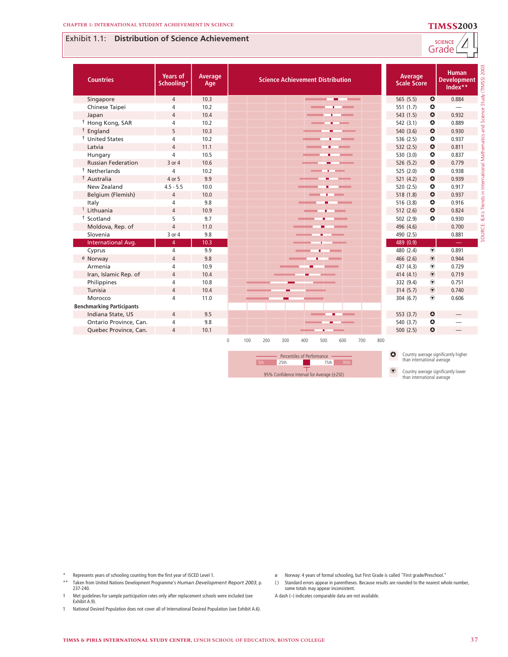## Exhibit 1.1: **Distribution of Science Achievement**



| <b>Countries</b>                            | <b>Years of</b><br>Schooling* | Average<br>Age | <b>Science Achievement Distribution</b>                                                                                                                                              | Average<br><b>Scale Score</b>                                                                                                                                   | 200<br><b>Human</b><br>(TIMSS)<br><b>Development</b><br>Index** |
|---------------------------------------------|-------------------------------|----------------|--------------------------------------------------------------------------------------------------------------------------------------------------------------------------------------|-----------------------------------------------------------------------------------------------------------------------------------------------------------------|-----------------------------------------------------------------|
| Singapore                                   | $\overline{4}$                | 10.3           | <b>Contract Contract</b>                                                                                                                                                             | $\bullet$<br>565 (5.5)                                                                                                                                          | Study<br>0.884                                                  |
| Chinese Taipei                              | $\overline{4}$                | 10.2           |                                                                                                                                                                                      | ۰<br>551 (1.7)                                                                                                                                                  |                                                                 |
| Japan                                       | $\overline{4}$                | 10.4           |                                                                                                                                                                                      | $\bullet$<br>543(1.5)                                                                                                                                           | 0.932                                                           |
| <sup>†</sup> Hong Kong, SAR                 | 4                             | 10.2           |                                                                                                                                                                                      | 542 (3.1)<br>٥                                                                                                                                                  | 0.889                                                           |
| <sup>†</sup> England                        | 5                             | 10.3           |                                                                                                                                                                                      | $\bullet$<br>540 (3.6)                                                                                                                                          | 0.930                                                           |
| <sup>†</sup> United States                  | 4                             | 10.2           |                                                                                                                                                                                      | 536 (2.5)<br>$\bullet$                                                                                                                                          | 0.937                                                           |
| Latvia                                      | $\overline{4}$                | 11.1           |                                                                                                                                                                                      | $\bullet$<br>532(2.5)                                                                                                                                           | 0.811                                                           |
| Hungary                                     | $\overline{4}$                | 10.5           |                                                                                                                                                                                      | $\bullet$<br>530 (3.0)                                                                                                                                          | 0.837                                                           |
| <b>Russian Federation</b>                   | 3 or 4                        | 10.6           |                                                                                                                                                                                      | $\bullet$<br>526 (5.2)                                                                                                                                          | Σ<br>0.779                                                      |
| <sup>†</sup> Netherlands                    | 4                             | 10.2           |                                                                                                                                                                                      | 525 (2.0)<br>٥                                                                                                                                                  | 0.938                                                           |
| <sup>†</sup> Australia                      | 4 or 5                        | 9.9            |                                                                                                                                                                                      | 521(4.2)<br>$\bullet$                                                                                                                                           | 0.939                                                           |
| New Zealand                                 | $4.5 - 5.5$                   | 10.0           |                                                                                                                                                                                      | 520 (2.5)<br>٥                                                                                                                                                  | 0.917                                                           |
| Belgium (Flemish)                           | $\overline{4}$                | 10.0           |                                                                                                                                                                                      | $\bullet$<br>518 (1.8)                                                                                                                                          | 0.937                                                           |
| Italy                                       | 4                             | 9.8            |                                                                                                                                                                                      | 516(3.8)<br>$\bullet$                                                                                                                                           | Trend<br>0.916                                                  |
| Lithuania                                   | $\overline{4}$                | 10.9           |                                                                                                                                                                                      | $\bullet$<br>512(2.6)                                                                                                                                           | 0.824<br>in,                                                    |
| <sup>†</sup> Scotland                       | 5                             | 9.7            |                                                                                                                                                                                      | $\bullet$<br>502 (2.9)                                                                                                                                          | ĪÄ,<br>0.930                                                    |
| Moldova, Rep. of                            | $\overline{4}$                | 11.0           |                                                                                                                                                                                      | 496 (4.6)                                                                                                                                                       | 0.700                                                           |
| Slovenia                                    | 3 or 4                        | 9.8            |                                                                                                                                                                                      | 490 (2.5)                                                                                                                                                       | SOURCE:<br>0.881                                                |
| International Avg.                          | $\overline{4}$                | 10.3           |                                                                                                                                                                                      | 489 (0.9)                                                                                                                                                       |                                                                 |
| Cyprus                                      | $\overline{4}$                | 9.9            |                                                                                                                                                                                      | $\circledast$<br>480 (2.4)                                                                                                                                      | 0.891                                                           |
| <sup>ø</sup> Norway                         | $\sqrt{4}$                    | 9.8            |                                                                                                                                                                                      | $\textcircled{\textbf{r}}$<br>466 (2.6)                                                                                                                         | 0.944                                                           |
| Armenia                                     | 4                             | 10.9           |                                                                                                                                                                                      | 437 (4.3)<br>$\circledast$                                                                                                                                      | 0.729                                                           |
| Iran, Islamic Rep. of                       | $\overline{4}$                | 10.4           |                                                                                                                                                                                      | $\textcircled{\textbf{r}}$<br>414(4.1)                                                                                                                          | 0.719                                                           |
| Philippines                                 | 4                             | 10.8           |                                                                                                                                                                                      | $\circledast$<br>332 (9.4)                                                                                                                                      | 0.751                                                           |
| Tunisia                                     | $\overline{4}$                | 10.4           |                                                                                                                                                                                      | $\circledcirc$<br>314(5.7)                                                                                                                                      | 0.740                                                           |
| Morocco<br><b>Benchmarking Participants</b> | $\overline{4}$                | 11.0           |                                                                                                                                                                                      | $\circledast$<br>304(6.7)                                                                                                                                       | 0.606                                                           |
| Indiana State, US                           | $\overline{4}$                | 9.5            |                                                                                                                                                                                      | 553 (3.7)<br>$\bullet$                                                                                                                                          |                                                                 |
| Ontario Province, Can.                      | 4                             | 9.8            |                                                                                                                                                                                      | $\bullet$<br>540 (3.7)                                                                                                                                          |                                                                 |
| Quebec Province, Can.                       | $\overline{4}$                | 10.1           |                                                                                                                                                                                      | $\bullet$<br>500(2.5)                                                                                                                                           |                                                                 |
|                                             |                               |                | $\mathbf{0}$<br>100<br>200<br>300<br>400<br>500<br>600<br>700<br>800<br>Percentiles of Performance<br>5th<br>95th<br>25th<br>75th<br>т<br>95% Confidence Interval for Average (±2SE) | Country average significantly higher<br>$\bullet$<br>than international average<br>$\odot$<br>Country average significantly lower<br>than international average |                                                                 |

\* Represents years of schooling counting from the first year of ISCED Level 1.

\*\* Taken from United Nations Development Programme's *Human Development Report 2003*, p. 237-240.

- † Met guidelines for sample participation rates only after replacement schools were included (see Exhibit A.9).
- 1 National Desired Population does not cover all of International Desired Population (see Exhibit A.6).
- ø Norway: 4 years of formal schooling, but First Grade is called "First grade/Preschool."

( ) Standard errors appear in parentheses. Because results are rounded to the nearest whole number, some totals may appear inconsistent.

A dash (–) indicates comparable data are not available.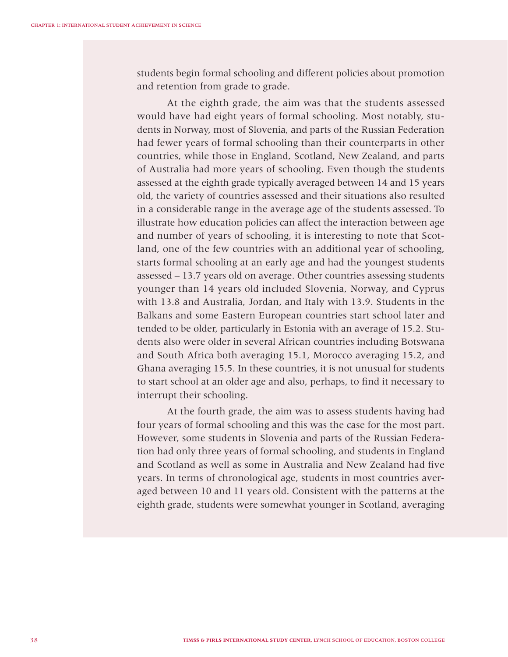students begin formal schooling and different policies about promotion and retention from grade to grade.

At the eighth grade, the aim was that the students assessed would have had eight years of formal schooling. Most notably, students in Norway, most of Slovenia, and parts of the Russian Federation had fewer years of formal schooling than their counterparts in other countries, while those in England, Scotland, New Zealand, and parts of Australia had more years of schooling. Even though the students assessed at the eighth grade typically averaged between 14 and 15 years old, the variety of countries assessed and their situations also resulted in a considerable range in the average age of the students assessed. To illustrate how education policies can affect the interaction between age and number of years of schooling, it is interesting to note that Scotland, one of the few countries with an additional year of schooling, starts formal schooling at an early age and had the youngest students assessed – 13.7 years old on average. Other countries assessing students younger than 14 years old included Slovenia, Norway, and Cyprus with 13.8 and Australia, Jordan, and Italy with 13.9. Students in the Balkans and some Eastern European countries start school later and tended to be older, particularly in Estonia with an average of 15.2. Students also were older in several African countries including Botswana and South Africa both averaging 15.1, Morocco averaging 15.2, and Ghana averaging 15.5. In these countries, it is not unusual for students to start school at an older age and also, perhaps, to find it necessary to interrupt their schooling.

At the fourth grade, the aim was to assess students having had four years of formal schooling and this was the case for the most part. However, some students in Slovenia and parts of the Russian Federation had only three years of formal schooling, and students in England and Scotland as well as some in Australia and New Zealand had five years. In terms of chronological age, students in most countries averaged between 10 and 11 years old. Consistent with the patterns at the eighth grade, students were somewhat younger in Scotland, averaging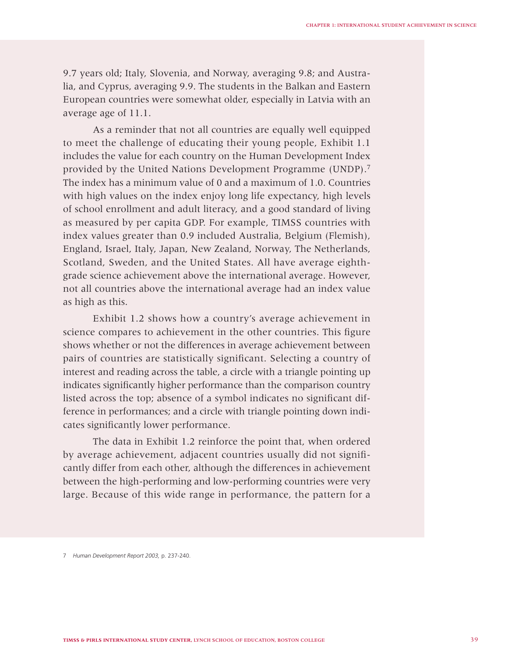9.7 years old; Italy, Slovenia, and Norway, averaging 9.8; and Australia, and Cyprus, averaging 9.9. The students in the Balkan and Eastern European countries were somewhat older, especially in Latvia with an average age of 11.1.

As a reminder that not all countries are equally well equipped to meet the challenge of educating their young people, Exhibit 1.1 includes the value for each country on the Human Development Index provided by the United Nations Development Programme (UNDP).7 The index has a minimum value of 0 and a maximum of 1.0. Countries with high values on the index enjoy long life expectancy, high levels of school enrollment and adult literacy, and a good standard of living as measured by per capita GDP. For example, TIMSS countries with index values greater than 0.9 included Australia, Belgium (Flemish), England, Israel, Italy, Japan, New Zealand, Norway, The Netherlands, Scotland, Sweden, and the United States. All have average eighthgrade science achievement above the international average. However, not all countries above the international average had an index value as high as this.

Exhibit 1.2 shows how a country's average achievement in science compares to achievement in the other countries. This figure shows whether or not the differences in average achievement between pairs of countries are statistically significant. Selecting a country of interest and reading across the table, a circle with a triangle pointing up indicates significantly higher performance than the comparison country listed across the top; absence of a symbol indicates no significant difference in performances; and a circle with triangle pointing down indicates significantly lower performance.

The data in Exhibit 1.2 reinforce the point that, when ordered by average achievement, adjacent countries usually did not significantly differ from each other, although the differences in achievement between the high-performing and low-performing countries were very large. Because of this wide range in performance, the pattern for a

<sup>7</sup> *Human Development Report 2003,* p. 237-240.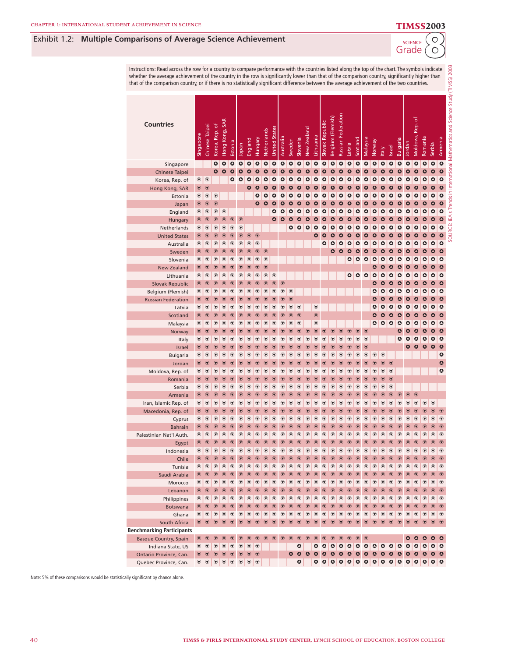Exhibit 1.2: **Multiple Comparisons of Average Science Achievement**

| nparisons of Average Science Achievement                                                                                                                                                                                                                                                                                                                                                                                                             |                      |                                   |                            |                       |                              |                               |                                           |                            |                                    |                            |                              |                          |                          |                          |                          |                               |                          |                          |                 |                            |                            |                                                                    |                          |                          |                                    | <b>SCIENCE</b><br>Grade                                  |                                  |                            | $\circ$<br>O             |                          |                                                                                  |
|------------------------------------------------------------------------------------------------------------------------------------------------------------------------------------------------------------------------------------------------------------------------------------------------------------------------------------------------------------------------------------------------------------------------------------------------------|----------------------|-----------------------------------|----------------------------|-----------------------|------------------------------|-------------------------------|-------------------------------------------|----------------------------|------------------------------------|----------------------------|------------------------------|--------------------------|--------------------------|--------------------------|--------------------------|-------------------------------|--------------------------|--------------------------|-----------------|----------------------------|----------------------------|--------------------------------------------------------------------|--------------------------|--------------------------|------------------------------------|----------------------------------------------------------|----------------------------------|----------------------------|--------------------------|--------------------------|----------------------------------------------------------------------------------|
| Instructions: Read across the row for a country to compare performance with the countries listed along the top of the chart. The symbols indicate<br>whether the average achievement of the country in the row is significantly lower than that of the comparison country, significantly higher than<br>that of the comparison country, or if there is no statistically significant difference between the average achievement of the two countries. |                      |                                   |                            |                       |                              |                               |                                           |                            |                                    |                            |                              |                          |                          |                          |                          |                               |                          |                          |                 |                            |                            |                                                                    |                          |                          |                                    |                                                          |                                  |                            |                          |                          |                                                                                  |
| <b>Countries</b>                                                                                                                                                                                                                                                                                                                                                                                                                                     | Singapore            | Chinese Taipei                    | Korea, Rep. of             | Hong Kong, SAR        | Estonia                      | Iapan                         | England                                   | Hungary                    | <b>Netherlands</b>                 | <b>United States</b>       | Australia                    | Sweden                   | Slovenia                 | New Zealand              | Lithuania                | Slovak Republic               | Belgium (Flemish)        | Russian Federation       | Latvia          | Scotland                   | Malaysia                   | Norway                                                             | <b>Italy</b>             | Israel                   | Bulgaria                           | Jordan                                                   | Rep. of<br>Moldova,              | Romania                    | Serbia                   | Armenia                  | SOURCE: IEA's Trends in International Mathematics and Science Study (TIMSS) 2003 |
| Singapore                                                                                                                                                                                                                                                                                                                                                                                                                                            |                      |                                   | $\bullet$                  | $\bullet$             | $\bullet$                    | $\bullet$                     | $\bullet$                                 | ٥                          | $\bullet$                          | $\bullet$                  | $\bullet$                    | $\bullet$                | $\bullet$                | $\bullet$                | $\bullet$                | $\bullet$                     | $\bullet$                | $\bullet$                | ٥               | $\bullet$                  | $\bullet$                  | $\circ$                                                            | ٥                        | $\bullet$                | $\bullet$                          | $\bullet$                                                | $\bullet$                        | $\bullet$                  | ٥                        | $\bullet$                |                                                                                  |
| Chinese Taipei                                                                                                                                                                                                                                                                                                                                                                                                                                       |                      |                                   | $\bullet$                  | $\bullet$             | ٥                            | ٥                             | ٥                                         | $\bullet$                  | ٥                                  | ٥                          | ٥                            | ٥                        | ٥                        | ٥                        | ٥                        | ٥                             | ٥                        | ٥                        | ٥               | ٥                          | ٥                          | $\mathbf{\Omega}$                                                  | ٥                        | $\bullet$                | ٥                                  | ٥                                                        | ٥                                | Δ                          | ٥                        | $\bullet$                |                                                                                  |
| Korea, Rep. of                                                                                                                                                                                                                                                                                                                                                                                                                                       | $^\circledR$         | $^{\circ}$                        |                            |                       | ٥                            | ٥                             | ٥                                         | Δ                          | Δ                                  | ٥                          | $\bullet$                    | ٥                        | ٥                        | ٥                        | ٥                        | ٥                             | ٥                        | ٥                        | ٥               | ٥                          | ٥                          | $\circ$                                                            | $\bullet$                | $\bullet$                | $\bullet$                          | ٥                                                        |                                  |                            | ٥                        | $\bullet$                |                                                                                  |
| Hong Kong, SAR                                                                                                                                                                                                                                                                                                                                                                                                                                       | $^{\circ}$           | $^{\circ}$                        |                            |                       |                              |                               | $\bullet$                                 | $\bullet$                  |                                    | $\bullet$                  | $\bullet$                    | $\bullet$                | ٥                        | $\bullet$                | ٥                        | ٥                             | ٥                        | ٥                        | Δ               | Δ                          | $\mathbf{o}$               | $\mathbf{\Omega}$                                                  | ٥                        | ٥                        | $\boldsymbol{\alpha}$              | $\bullet$                                                | Δ                                |                            | Δ                        | $\mathbf{\Omega}$        |                                                                                  |
| Estonia                                                                                                                                                                                                                                                                                                                                                                                                                                              | $^\circledR$         | $^{\circ}$                        | $^\circledR$               |                       |                              |                               |                                           | ٥                          | ٥                                  | ٥                          | $\bullet$                    | $\bullet$                | $\bullet$                | $\bullet$                | ٥                        | $\bullet$                     | ٥                        | ٥                        | ٥               | ٥                          | ٥                          | $\circ$                                                            | $\bullet$                | $\bullet$                | $\bullet$                          | ٥                                                        | ٥                                | ٥                          | ٥                        | $\bullet$                |                                                                                  |
| Japan                                                                                                                                                                                                                                                                                                                                                                                                                                                | $^{\circ}$           | $^{\circ}$                        | $^{\circ}$                 |                       |                              |                               |                                           | $\bullet$                  | $\circ$                            | $\circ$                    | $\mathbf{\Omega}$            | $\bullet$                | $\bullet$                | $\bullet$                | $\bullet$                | ٥                             | ٥                        | $\bullet$                | ٥               | ٥                          | ٥                          | $\bullet$                                                          | $\bullet$                | $\bullet$                | $\bullet$                          | ٥                                                        | ٥                                | ٥                          | ٥                        | $\bullet$                |                                                                                  |
| England                                                                                                                                                                                                                                                                                                                                                                                                                                              | ◉                    | $^{\circ}$                        | $^{\circ}$                 | $^{\circ}$            |                              |                               |                                           |                            |                                    | $\bullet$                  | $\bullet$                    | $\bullet$                | $\bullet$                | ہ                        | $\bullet$                | $\bullet$                     | $\bullet$                | $\bullet$                | ٥               | ٥                          | $\bullet$                  | $\circ$                                                            | $\bullet$                | $\bullet$                | $\bullet$                          | ٥                                                        | ٥                                | ٥                          | ٥                        | $\circ$                  |                                                                                  |
| Hungary                                                                                                                                                                                                                                                                                                                                                                                                                                              | $^{\circ}$           | $^{\circ}$                        | $^{\circ}$                 | $^{\circ}$            | $^\copyright$                | $\circledcirc$                |                                           |                            |                                    | $\bullet$                  | $\bullet$                    | ٥                        | ٥                        | ہ                        | ٥                        | ٥                             | ٥                        | ٥                        | ٥               | ٥                          | ٥                          | ٥                                                                  | ٥                        | ٥                        | ٥                                  | ٥                                                        |                                  |                            | ٥                        | $\bullet$                |                                                                                  |
| Netherlands                                                                                                                                                                                                                                                                                                                                                                                                                                          | ◉                    | $^\circledR$                      | ◉                          | ◉                     | ◉                            | $^{\circ}$                    |                                           |                            |                                    |                            |                              | ٥                        | $\bullet$                | $\bullet$                | $\bullet$                | $\bullet$                     | $\bullet$                | $\bullet$                | ٥               | ٥                          | $\bullet$                  | $\circ$                                                            | $\bullet$                | $\bullet$                | $\bullet$                          | $\bullet$                                                | ٥                                | $\bullet$                  | ٥                        | $\circ$                  |                                                                                  |
| <b>United States</b>                                                                                                                                                                                                                                                                                                                                                                                                                                 | $^\circledR$         | $^\copyright$                     | ♥                          | $\circ$               | ◉                            | $_{\textcolor{red}{\bullet}}$ | $^{\copyright}$                           | $\odot$                    |                                    |                            |                              |                          |                          |                          | $\bullet$                | $\bullet$                     | ٥                        | ٥                        | ٥               | ٥                          | $\bullet$                  | $\bullet$                                                          | $\bullet$                | $\bullet$                | $\bullet$                          | $\bullet$                                                | ٥                                | ٥                          | ٥                        | $\bullet$                |                                                                                  |
| Australia                                                                                                                                                                                                                                                                                                                                                                                                                                            | ◉                    | $^{\circ}$                        | $^{\circ}$                 | $^{\circ}$            | $^{\circ}$                   | $^\circledR$                  | $^{\circ}$                                | $^{\circ}$                 |                                    |                            |                              |                          |                          |                          |                          | ٥                             | $\bullet$                | ٥                        | ٥               | ٥                          | $\bullet$                  | $\circ$                                                            | $\bullet$                | $\bullet$                | $\bullet$                          | $\bullet$                                                | ٥                                | ٥                          | ٥                        | $\circ$                  |                                                                                  |
| Sweden                                                                                                                                                                                                                                                                                                                                                                                                                                               | $^\circledR$         | $^{\circ}$                        | $^{\circ}$                 | $^{\circ}$            | $^\circledR$                 | ♥                             | $^{\circ}$                                | $_{\textstyle\odot}$       | $^{\copyright}$                    |                            |                              |                          |                          |                          |                          |                               | ٥                        | ٥                        | ٥               | ٥                          | ٥                          | $\bullet$                                                          | $\bullet$                | $\bullet$                | $\bullet$                          | $\bullet$                                                | ٥                                | $\circ$                    | ٥                        | ٥                        |                                                                                  |
| Slovenia                                                                                                                                                                                                                                                                                                                                                                                                                                             | ◉                    | $^{\circ}$                        | $^\circledR$               | $^\circledR$          | ◉                            | $^\circledR$                  | $^{\circ}$                                | $^\circledR$               | $^\circledR$                       |                            |                              |                          |                          |                          |                          |                               |                          |                          | ٥               | $\bullet$                  | $\bullet$                  | $\circ$                                                            | ٥                        | ٥<br>$\bullet$           | $\bullet$<br>$\boldsymbol{\alpha}$ | ٥                                                        | ٥                                | ٥                          | ٥<br>Δ                   | $\circ$                  |                                                                                  |
| <b>New Zealand</b>                                                                                                                                                                                                                                                                                                                                                                                                                                   | $^{\circ}$<br>◉      | $\circledcirc$<br>◉               | $\circledcirc$<br>◉        | $^{\circ}$<br>◉       | $\circledast$<br>◉           | $\circledast$<br>◉            | $\circledast$<br>$^\circledR$             | $\circledcirc$<br>◉        | $^{\circ}$<br>$_{\textstyle\odot}$ | $^{\circ}$                 |                              |                          |                          |                          |                          |                               |                          |                          | ٥               | $\bullet$                  | $\bullet$                  | ٥<br>$\circ$                                                       | Δ<br>$\bullet$           | $\bullet$                | $\bullet$                          | ٥<br>٥                                                   | ٥<br>٥                           | $\Delta$<br>٥              | ٥                        | ٥<br>٥                   |                                                                                  |
| Lithuania                                                                                                                                                                                                                                                                                                                                                                                                                                            | $^{\circ}$           | $^{\circ}$                        | $^{\circ}$                 | $^{\circ}$            | $_{\textstyle\odot}$         | $_{\textcolor{red}{\bullet}}$ | $^{\circ}$                                | $_{\textstyle\odot}$       | $^{\circ}$                         | $^{\circ}$                 | $\circledcirc$               |                          |                          |                          |                          |                               |                          |                          |                 |                            |                            | ٥                                                                  | $\mathbf{\Omega}$        | $\bullet$                | $\bullet$                          | ٥                                                        | ٥                                | $\bullet$                  | ٥                        | $\bullet$                |                                                                                  |
| <b>Slovak Republic</b>                                                                                                                                                                                                                                                                                                                                                                                                                               | ◉                    | $^{\circ}$                        | $^{\circ}$                 | $^{\circ}$            | $^\circledR$                 | $^{\circ}$                    | $^{\circ}$                                | ◉                          | $_{\textstyle\odot}$               | $^{\circ}$                 | $^\circledR$                 | $^{\circ}$               |                          |                          |                          |                               |                          |                          |                 |                            |                            | ٥                                                                  | ہ                        | $\bullet$                | $\bullet$                          | $\bullet$                                                | $\bullet$                        | $\bullet$                  | ٥                        | $\circ$                  |                                                                                  |
| Belgium (Flemish)<br><b>Russian Federation</b>                                                                                                                                                                                                                                                                                                                                                                                                       | $^{\circ}$           | $^{\circ}$                        | $^{\circ}$                 | $^{\circ}$            | $^\copyright$                | $^{\circ}$                    | $^{\circ}$                                | $_{\textstyle\odot}$       | $^{\circ}$                         | $^{\copyright}$            | $_{\textstyle\odot}$         | $\circledcirc$           |                          |                          |                          |                               |                          |                          |                 |                            |                            | Δ                                                                  | ٥                        | ٥                        | ٥                                  | ٥                                                        | ٥                                | $\mathbf{o}$               | ٥                        | ٥                        |                                                                                  |
| Latvia                                                                                                                                                                                                                                                                                                                                                                                                                                               | ◉                    | $^\circledR$                      | ◉                          | ◉                     | $^\circledR$                 | $^{\circ}$                    | $^\circledR$                              | $^\circledR$               | $^\circledR$                       | $^\circledR$               | $^\circledR$                 | $^{\circ}$               | $^{\circ}$               |                          | $^{\circ}$               |                               |                          |                          |                 |                            |                            | ہ                                                                  | $\bullet$                | $\bullet$                | $\bullet$                          | $\bullet$                                                | $\bullet$                        | $\bullet$                  | ٥                        | $\circ$                  |                                                                                  |
| Scotland                                                                                                                                                                                                                                                                                                                                                                                                                                             | $^\circledR$         | $^\copyright$                     | ⊽                          | ℭ                     | ◉                            | ♥                             | $^\circledR$                              | ℭ                          | ℭ                                  | $\circledcirc$             | $_{\textstyle\odot}$         | $^{\circ}$               | $\circledcirc$           |                          | $\circledcirc$           |                               |                          |                          |                 |                            |                            | ٥                                                                  | $\bullet$                | $\bullet$                | ٥                                  | ٥                                                        | ٥                                | $\circ$                    | ٥                        | ٥                        |                                                                                  |
| Malaysia                                                                                                                                                                                                                                                                                                                                                                                                                                             | ◉                    | $^{\circ}$                        | $^{\circ}$                 | ◉                     | $^\circledR$                 | $^\circledR$                  | $^\circledR$                              | $^\circledR$               | $^\circledR$                       | $^{\circ}$                 | $^{\circ}$                   | $^{\circ}$               | $^{\circ}$               |                          | $^{\circ}$               |                               |                          |                          |                 |                            |                            | ٥                                                                  | $\bullet$                | $\circ$                  | $\bullet$                          | ٥                                                        | ٥                                | ٥                          | ٥                        | $\bullet$                |                                                                                  |
| Norway                                                                                                                                                                                                                                                                                                                                                                                                                                               | $^\circledR$         | $^{\circ}$                        | $^{\circ}$                 | $^{\circ}$            | $_{\textstyle\odot}$         | $^\circledR$                  | $^{\circ}$                                | $\circledcirc$             | $_{\textstyle\odot}$               | $^{\circ}$                 | $_{\textstyle\odot}$         | $^{\circ}$               | $^{\circ}$               | $_{\textstyle\odot}$     | $^{\circ}$               | $_{\textcolor{red}{\bullet}}$ | $_{\textstyle\odot}$     | $_{\textstyle\odot}$     | $^\copyright$   | $_{\textstyle\odot}$       | $^{\circ}$                 |                                                                    |                          |                          | ٥                                  | ٥                                                        | ٥                                | $\bullet$                  | ٥                        | ٥                        |                                                                                  |
| Italy                                                                                                                                                                                                                                                                                                                                                                                                                                                | ◉                    | $^{\circ}$                        | $^\circledR$               | $^\circledR$          | ◉                            | $^\circledR$                  | $^{\circ}$                                | $^\circledR$               | $^\circledR$                       | $^{\circ}$                 | $^\circledR$                 | $^{\circ}$               | ◉                        | $^\circledR$             | $^{\circ}$               | $_{\textstyle\odot}$          | $^\circledR$             | $^{\copyright}$          | ◉               | $^{\circ}$                 | $^{\circ}$                 |                                                                    |                          |                          | $\bullet$                          | ٥                                                        | ٥                                | $\bullet$                  | ٥                        | $\circ$                  |                                                                                  |
| Israel                                                                                                                                                                                                                                                                                                                                                                                                                                               | $^{\circ}$           | $\circledcirc$                    | $\circledcirc$             | $^{\circ}$            | $_{\textstyle\odot}$         | $\circledast$                 | $^{\circ}$                                | $\circledcirc$             | $\circledcirc$                     | $^{\circ}$                 | $^{\circ}$                   | $^{\circ}$               | $^{\circ}$               | $\circledast$            | $^{\circ}$               | $^{\circ}$                    | $^{\circ}$               | $^{\circ}$               | $^{\circ}$      | $_{\textstyle\odot}$       | $\mathbf G$                |                                                                    |                          |                          |                                    | Δ                                                        | $\bullet$                        | $\bullet$                  | $\bullet$                | $\bullet$                |                                                                                  |
| <b>Bulgaria</b>                                                                                                                                                                                                                                                                                                                                                                                                                                      | ◉                    | ◉                                 | ◉                          | ◉                     | ◉                            | $^\circledR$                  | $^\circledR$                              | ◉                          | ◉                                  | $^\circledR$               | ◉                            | $^{\circ}$               | $^{\circ}$               | $^\circledR$             | $^{\circ}$               | $_{\textstyle\odot}$          | ◉                        | $^{\circ}$               | ◉               | ◉                          | $^\circledR$               | $^\circledR$                                                       | $^{\circ}$               |                          |                                    |                                                          |                                  |                            |                          | ہ                        |                                                                                  |
| Jordan                                                                                                                                                                                                                                                                                                                                                                                                                                               | $^{\circ}$           | $^{\circ}$                        | $^{\circ}$                 | $^{\circ}$            | $_{\textstyle\odot}$         | $_{\textstyle\odot}$          | $^{\circ}$                                | $^\circledR$               | $^{\circ}$                         | $^{\circ}$                 | $^\copyright$                | $^{\circ}$               | $^{\circ}$               | $^{\circ}$               | $^{\circ}$               | $^{\circ}$                    | $^{\circ}$               | $^{\circ}$               | $^{\circ}$      | $_{\textstyle\odot}$       | $_{\textstyle\odot}$       | $^{\circ}$                                                         | $^{\circ}$               | $^{\circ}$               |                                    |                                                          |                                  |                            |                          | ٥                        |                                                                                  |
| Moldova, Rep. of                                                                                                                                                                                                                                                                                                                                                                                                                                     | ◉                    | $^{\circ}$                        | $^{\circ}$                 | ◉                     | ◉                            | $^{\circ}$                    | $^{\circ}$                                | ◉                          | $^{\circ}$                         | $^{\circ}$                 | $^\circledR$                 | $^{\circ}$               | $^{\circ}$               | $^{\circ}$               | $^{\circ}$               | $_{\textstyle\odot}$          | $^{\circ}$               | $^{\circ}$               | $^\circledR$    | $^\circledR$               | $^\circledR$               | $^{\circ}$                                                         | $^{\circ}$               | $\circledcirc$           |                                    |                                                          |                                  |                            |                          | ہ                        |                                                                                  |
| Romania                                                                                                                                                                                                                                                                                                                                                                                                                                              | $^{\circ}$           | $^{\circ}$                        | $^{\circ}$                 | $^{\circ}$            | $^\copyright$                | $^{\circ}$                    | $^{\circ}$                                | $_{\textstyle\odot}$       | $^{\circ}$                         | $^{\copyright}$            | $^{\circ}$                   | $^{\circ}$               | $^{\circ}$               | $^{\circ}$               | $^{\circ}$               | $^{\circ}$                    | $^{\circ}$               | $^{\circ}$               | $\circledcirc$  | $_{\textstyle\odot}$       | $^{\circ}$                 | $^{\circ}$                                                         | $^{\circ}$               | $\circledcirc$           |                                    |                                                          |                                  |                            |                          |                          |                                                                                  |
| Serbia                                                                                                                                                                                                                                                                                                                                                                                                                                               | ◉                    | ◉                                 | ♥                          | ◉                     | ◉                            | $^{\circ}$                    | $^\circledR$                              | ◉                          | $^\circledR$                       | $^\circledR$               | $^\circledR$                 | $^\circledR$             | $^{\circ}$               | ◉                        | $^{\circ}$               | $^\circledR$                  | $^\circledR$             | $^\circledR$             | $^\circledR$    | $^\circledR$               | $^\circledR$               | ◉                                                                  | $^\circledR$             | $^{\circ}$               |                                    |                                                          |                                  |                            |                          |                          |                                                                                  |
| Armenia                                                                                                                                                                                                                                                                                                                                                                                                                                              | $_{\textstyle\odot}$ | ℭ                                 |                            |                       |                              | ⊽                             | $\overline{\mathbf{v}}$                   |                            |                                    | ℭ                          | ℭ                            | ℭ                        | ℭ                        | ℭ                        | ℭ                        | ℭ                             | ℭ                        | ℭ                        | ℭ               |                            | ℭ                          | ℭ                                                                  | ℭ                        | $^\circledR$             | ℭ                                  | $_{\textstyle\odot}$                                     | $^{\circ}$                       |                            |                          |                          |                                                                                  |
| Iran, Islamic Rep. of                                                                                                                                                                                                                                                                                                                                                                                                                                | ◉                    | $^{\circ}$                        | ◉                          | $^\circledR$          | $^\circledR$                 | $^\circledR$                  | $^\circledR$                              | $^\circledR$               | $^\circledR$                       | $^{\circ}$                 | $^{\circ}$                   | $^{\circ}$               | $^{\circ}$               | $^{\circ}$               | $^{\circ}$               | $^{\circ}$                    | $^{\circ}$               | $^{\circ}$               | $^\circledR$    | $^\circledR$               | $^\circledR$               | $^{\circ}$                                                         | $^{\circ}$               | $^{\circ}$               | $^{\circ}$                         | $_{\textstyle\odot}$                                     | $^{\circ}$                       | $^\circledR$               | $\circ$                  |                          |                                                                                  |
| Macedonia, Rep. of                                                                                                                                                                                                                                                                                                                                                                                                                                   | $\circledcirc$       | $\circ$                           | $\circ$                    | $\circ$               | $\circ$                      | $\circledcirc$                | $\circ$                                   | $\circledcirc$             | $\circ$                            | $\circ$                    | $\circledcirc$               | $\circ$                  | $\circ$                  | $\circ$                  | $\circ$                  | $\circ$                       | $\circ$                  | $\circ$                  | $\circ$         | $\circ$                    |                            | $\circ$                                                            | $\circ$                  | $\circ$                  | $\circ$                            | $\circ$                                                  | $\circ$                          | $\circ$                    | $\circ$                  | $\circledcirc$           |                                                                                  |
| Cyprus                                                                                                                                                                                                                                                                                                                                                                                                                                               | ◉                    | $\circledcirc$                    | $^{\circ}$                 | $^{\circ}$            | $^{\circ}$                   | $^{\circ}$                    | $^{\circ}$                                | $^{\circ}$                 | ◉                                  | $^\circledR$               | $^{\circ}$                   | $^{\circ}$               | $\circledcirc$           | $^{\circ}$               | $^{\circ}$               | $^{\circ}$                    | $^{\circ}$               | $^{\circ}$               | $^\circledR$    | $^\circledR$               | $^\circledR$               | $\bullet$                                                          | $^{\circ}$               | $\circledcirc$           | ◉                                  | $^{\circ}$                                               | $\circledcirc$                   | ♥                          | $^\circledR$             | $^{\circ}$               |                                                                                  |
| <b>Bahrain</b>                                                                                                                                                                                                                                                                                                                                                                                                                                       | $\circledcirc$       | $\circledcirc$                    | $\circledcirc$             | $\circledcirc$        | $^{\circ}$                   | $^{\circ}$                    | $^{\circ}$                                | $\circledcirc$             | $\circledcirc$                     | $^{\circ}$                 | $\circledcirc$               | $\circledcirc$           | $\circledcirc$           | $\circledcirc$           | $^{\circ}$               | $^{\circ}$                    | $^{\circ}$               | $^{\circ}$               | $^{\circ}$      | $\circledcirc$             | $^{\circ}$                 | $\circledcirc$                                                     | $\circledcirc$           | $\circledcirc$           | $\circ$                            | $\circledcirc$                                           | $\circledcirc$                   | $\circledcirc$             | $\circledast$            | $\circledast$            |                                                                                  |
| Palestinian Nat'l Auth.                                                                                                                                                                                                                                                                                                                                                                                                                              | ◉                    | $\circledcirc$                    | $^\circledR$               | $^{\circ}$            | $^{\circ}$                   | $^{\circ}$                    | $^{\circ}$                                | $^\circledR$               | $^\circledR$                       | $^\circledR$               | $^{\circ}$                   | $^{\circ}$               | $^{\circ}$               | ◉                        | $^{\circ}$               | $^{\circ}$                    | $^\circledR$             | $^\circledR$             | ◉               | $^\circledR$               | $^{\circ}$                 | $^{\circ}$                                                         | $^{\circ}$               | $^{\circ}$               | $^{\circ}$                         | $^{\circ}$                                               | $\circledcirc$                   | $^\circledR$               | $^\circledR$             | ◉                        |                                                                                  |
| Egypt                                                                                                                                                                                                                                                                                                                                                                                                                                                |                      | $\circledcirc$                    | $^{\circ}$                 | $^{\circ}$            | $\circledcirc$               | $^{\circ}$                    | $^{\circ}$                                | $^{\circ}$                 | $^{\circ}$                         | $^{\circ}$                 | $^{\circ}$                   | $^{\circ}$               | $\circledcirc$           | $\circledcirc$           | $^{\circ}$               | $^{\circ}$                    | $^{\circ}$               | $^{\circ}$               | $^{\circ}$      | $\circledcirc$             | $^{\circ}$                 | $\circledcirc$                                                     | $\circledcirc$           | $\circledcirc$           | $\circledcirc$                     | $^{\circ}$                                               | $\circledcirc$                   | $\circledcirc$             | $^{\circ}$               | $^{\circ}$               |                                                                                  |
| Indonesia                                                                                                                                                                                                                                                                                                                                                                                                                                            |                      | $\circ$ $\circ$<br>$\circledcirc$ | $^\circledR$<br>$^{\circ}$ | $^{\circ}$<br>$\odot$ | $^{\circ}$<br>$\circledcirc$ | $^{\circ}$<br>$^{\circ}$      | ◉<br>$^{\circ}$                           | $^\circledR$<br>$^{\circ}$ | $^\circledR$<br>$^{\circ}$         | $^\circledR$<br>$^{\circ}$ | $^{\circ}$<br>$\circledcirc$ | $^{\circ}$<br>$^{\circ}$ | $^{\circ}$<br>$^{\circ}$ | $^{\circ}$<br>$^{\circ}$ | $^{\circ}$<br>$^{\circ}$ | $^{\circ}$<br>$^{\circ}$      | $^{\circ}$<br>$^{\circ}$ | $^{\circ}$<br>$^{\circ}$ | ◉<br>$^{\circ}$ | $^\circledR$<br>$^{\circ}$ | $^\circledR$<br>$^{\circ}$ | $^{\circ}$<br>$^{\circ}$                                           | $^{\circ}$<br>$^{\circ}$ | $^{\circ}$<br>$^{\circ}$ | $^{\circ}$<br>$\circledcirc$       | $^{\circ}$<br>$^{\circ}$                                 | $\circledcirc$<br>$\circledcirc$ | $^\circledR$<br>$^{\circ}$ | $^{\circ}$<br>$^{\circ}$ | $^{\circ}$<br>$^{\circ}$ |                                                                                  |
| Chile<br>Tunisia                                                                                                                                                                                                                                                                                                                                                                                                                                     |                      | $\circ$ $\circ$                   | $^{\circ}$                 | $^{\circ}$            | $^{\circ}$                   | $^{\circ}$                    | $^{\circ}$                                | $^{\circ}$                 | ◉                                  | $\circ$                    | $^{\circ}$                   | $^{\circ}$               | $^{\circ}$               | $^{\circ}$               | $\circ$                  | $^{\circ}$                    | $^{\circ}$               | $^{\circ}$               | $^\circledR$    | $^{\circ}$                 | $^\circledR$               | $\bullet$                                                          | $^{\circ}$               | $\circledcirc$           | $\circledcirc$                     | $^{\circ}$                                               | $\circledcirc$                   | $^\circledR$               | $^\circledR$             | ◉                        |                                                                                  |
| Saudi Arabia                                                                                                                                                                                                                                                                                                                                                                                                                                         |                      | $\circledcirc$                    | $^{\circ}$                 | $^{\circ}$            | $^\circledR$                 | $^{\circ}$                    | $^{\circ}$                                | $\circledcirc$             | $^{\circ}$                         | $^{\circ}$                 | $^{\circ}$                   | $^{\circ}$               | $^{\circ}$               | $^{\circ}$               | $^{\circ}$               | $^{\circ}$                    | $^{\circ}$               | $^{\circ}$               | $^{\circ}$      | $^{\circ}$                 | $^{\circ}$                 | $^{\circ}$                                                         | $^{\circ}$               | $^{\circ}$               | $^{\circ}$                         | $^{\circ}$                                               | $^{\circ}$                       | $^{\circ}$                 | $^{\circ}$               | $^{\circ}$               |                                                                                  |
| Morocco                                                                                                                                                                                                                                                                                                                                                                                                                                              |                      | $\circ$ $\circ$                   | $^{\circ}$                 | $^{\circ}$            | $\circ$                      | $\circledast$                 | $^{\circ}$                                | $^{\circ}$                 | $^{\circ}$                         | $^{\circ}$                 | $^{\circ}$                   | $\bullet$                | $^{\circ}$               | $^{\circ}$               | $^{\circ}$               | $\circledcirc$                | $^{\circ}$               | $^{\circ}$               | $^{\circ}$      | $^{\circ}$                 | $^{\circ}$                 | $\bullet$                                                          | $^{\circ}$               | $^{\circ}$               | $^{\circ}$                         | $\circ$ $\circ$                                          |                                  | $^{\circ}$                 | $^{\circ}$               | $^{\circ}$               |                                                                                  |
| Lebanon                                                                                                                                                                                                                                                                                                                                                                                                                                              | $\circledcirc$       | $\circledcirc$                    | $^{\circ}$                 | $^{\circ}$            | $^{\circ}$                   | $^{\circ}$                    | $^{\circ}$                                | $^{\circ}$                 | $^{\circ}$                         | $^{\circ}$                 | $^{\circ}$                   | $^{\circ}$               | $^{\circ}$               | $^{\circ}$               | $^{\circ}$               | $^{\circ}$                    | $^{\circ}$               | $^{\circ}$               | $^{\circ}$      | $^{\circ}$                 | $^{\circ}$                 | $^{\circ}$                                                         | $^{\circ}$               | $^{\circ}$               | $^{\circ}$                         | $^{\circ}$                                               | $^{\circ}$                       | $^{\circ}$                 | $^{\circ}$               | $_{\textstyle\odot}$     |                                                                                  |
| Philippines                                                                                                                                                                                                                                                                                                                                                                                                                                          |                      | $\circ$ $\circ$                   | $^{\circ}$                 | $^{\circ}$            | $^{\circ}$                   | $^{\circ}$                    | $^{\circ}$                                | $^{\circ}$                 | $^{\circ}$                         | $^\circledR$               | $^{\circ}$                   | $\circledcirc$           | $^{\circ}$               | $^{\circ}$               | $^{\circ}$               | $^{\circ}$                    | $^{\circ}$               | $^{\circ}$               | $^\circledR$    | $^\circledR$               | $^\circledR$               | $\circledcirc$                                                     | $^{\circ}$               | $\circledcirc$           | ◉                                  | $^{\circ}$                                               | $\circledcirc$                   | $^{\circ}$                 | $^\circledR$             | $^{\circ}$               |                                                                                  |
| <b>Botswana</b>                                                                                                                                                                                                                                                                                                                                                                                                                                      |                      | $\circledcirc$                    | $\circledcirc$             | $^{\circ}$            | $^{\circ}$                   | $^{\circ}$                    | $^{\circ}$                                | $\circledcirc$             | $\circledcirc$                     | $^{\circ}$                 | $\circledcirc$               | $\circledcirc$           | $\circledcirc$           | $\circledcirc$           | $^{\circ}$               | $^{\circ}$                    | $^{\circ}$               | $^{\circ}$               | $\circledast$   | $^{\circ}$                 | $^{\circ}$                 | $\circledcirc$                                                     | $^{\circ}$               | $\circledcirc$           | $\circledcirc$                     | $^{\circ}$                                               | $\circledcirc$                   | $\circledcirc$             | $^{\circ}$               | ◉                        |                                                                                  |
| Ghana                                                                                                                                                                                                                                                                                                                                                                                                                                                | $\circledcirc$       | $\bullet$                         | $^\circledR$               | $^\circledR$          | $^{\circ}$                   | $^{\circ}$                    | $^{\circ}$                                | $^\circledR$               | $^\circledR$                       | $^\circledR$               | $^{\circ}$                   | $^{\circ}$               | $^{\circ}$               | $^{\circ}$               | $^{\circ}$               | $^{\circ}$                    | $^\circledR$             | $^\circledR$             | ◉               | $^\circledR$               | $^{\circ}$                 | $^{\circ}$                                                         | $^{\circ}$               | $^{\circ}$               | ◉                                  | $^\circledR$                                             | $^\circledR$                     | $^\circledR$               | $^\circledR$             | $^{\circ}$               |                                                                                  |
| South Africa                                                                                                                                                                                                                                                                                                                                                                                                                                         |                      | $\circledcirc$                    | $\circledcirc$             | $\circledcirc$        | $\odot$                      | $^{\circ}$                    | $^{\circ}$                                | $^{\circ}$                 | $^{\circ}$                         | $^{\circ}$                 | $^{\circ}$                   | $^{\circ}$               | $^{\circ}$               | $^{\circ}$               | $^{\circ}$               | $^{\circ}$                    | $^{\circ}$               | $^{\circ}$               | $^{\circ}$      | $\circledcirc$             | $^{\circ}$                 | $\circledcirc$                                                     | $\circledcirc$           | $\circledcirc$           | $\circledcirc$                     | $_{\textstyle\odot}$                                     | $^{\circ}$                       | $^{\circ}$                 | $^{\circ}$               | $\circledcirc$           |                                                                                  |
| <b>Benchmarking Participants</b>                                                                                                                                                                                                                                                                                                                                                                                                                     |                      |                                   |                            |                       |                              |                               |                                           |                            |                                    |                            |                              |                          |                          |                          |                          |                               |                          |                          |                 |                            |                            |                                                                    |                          |                          |                                    |                                                          |                                  |                            |                          |                          |                                                                                  |
| <b>Basque Country, Spain</b>                                                                                                                                                                                                                                                                                                                                                                                                                         | $\circledcirc$       | $^{\circ}$                        | $\odot$                    | $^{\circ}$            | $^{\circ}$                   | $\circledcirc$                | $\circledcirc$                            | $^{\circ}$                 | $^{\circ}$                         | $\circledcirc$             | $^{\circ}$                   | $^{\circ}$               | $^{\circ}$               | $^{\circ}$               | $\circledcirc$           | $^{\circ}$                    | $^{\circ}$               | $\circledcirc$           | $^{\copyright}$ | $\circledcirc$             | $^{\circ}$                 |                                                                    |                          |                          |                                    | $\bullet$                                                | $\bullet$                        | $\bullet$                  | ٥                        | $\bullet$                |                                                                                  |
| Indiana State, US                                                                                                                                                                                                                                                                                                                                                                                                                                    | $\circledcirc$       | $\bullet$                         | $^{\circ}$                 | $^{\circ}$            | $\circledcirc$               | $^{\circ}$                    | $^{\circ}$                                | $^{\circ}$                 |                                    |                            |                              |                          | $\bullet$                |                          | $\bullet$                | $\bullet$                     | $\bullet$                | $\bullet$                | $\bullet$       |                            |                            | 000000000                                                          |                          |                          |                                    |                                                          |                                  | $\bullet$                  | $\circ$ $\circ$          |                          |                                                                                  |
| Ontario Province, Can.                                                                                                                                                                                                                                                                                                                                                                                                                               | $\circledcirc$       | $\circledcirc$                    | $^{\circ}$                 | $^{\circ}$            | $\circledcirc$               | $^{\circ}$                    | $^{\circ}$                                | $\odot$                    |                                    |                            |                              | $\bullet$                | $\bullet$                | $\bullet$                | $\circ$ $\circ$          |                               | $\bullet$                | $\bullet$                | $\bullet$       |                            |                            | $\begin{array}{c} \circ \circ \circ \circ \circ \circ \end{array}$ |                          |                          |                                    | $\begin{array}{ccc} & \circ & \circ & \circ \end{array}$ |                                  | $\bullet$                  | $\circ$ $\circ$          |                          |                                                                                  |
| Quebec Province, Can.                                                                                                                                                                                                                                                                                                                                                                                                                                |                      | $\circ$ $\circ$                   |                            |                       |                              |                               | $\circ \circ \bullet \circ \bullet \circ$ |                            |                                    |                            |                              |                          | $\bullet$                |                          |                          |                               |                          |                          |                 |                            |                            | 0000000000000000                                                   |                          |                          |                                    |                                                          |                                  |                            |                          |                          |                                                                                  |

Note: 5% of these comparisons would be statistically significant by chance alone.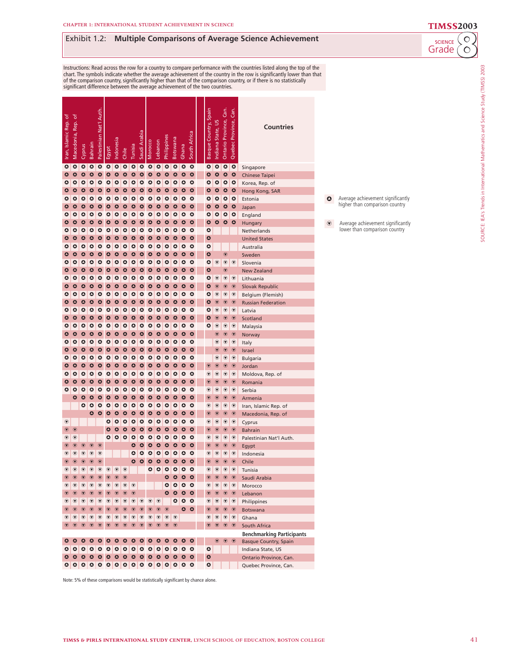## **Exhibit 1.2: Multiple Comparisons of Average Science Achievement**<br>Grade (O

# Instructions: Read across the row for a country to compare performance with the countries listed along the top of the<br>chart. The symbols indicate whether the average achievement of the country in the row is significantly l

| Iran, Islamic Rep. of | Macedonia, Rep. of   | Cyprus            | Bahrain           | Palestinian Nat'l Auth | Egypt                  | Indonesia         | Chile      | Tunisia         | Saudi Arabia    | Morocco    | Lebanon           | Philippines    | Botswana   | Ghana          | South Africa           | Basque Country, Spain  | Ľ<br>Indiana State,       | Can.<br>Ontario Province, | Can<br>Quebec Province, | Countries                                   |
|-----------------------|----------------------|-------------------|-------------------|------------------------|------------------------|-------------------|------------|-----------------|-----------------|------------|-------------------|----------------|------------|----------------|------------------------|------------------------|---------------------------|---------------------------|-------------------------|---------------------------------------------|
| ہ                     | $\bullet$            | ہ                 | $\bullet$         | $\bullet$              | $\bullet$              | $\bullet$         | $\bullet$  | ٥               | $\bullet$       | $\bullet$  | $\bullet$         | $\bullet$      | $\bullet$  | $\bullet$      | $\bullet$              | $\bullet$              | $\bullet$                 | $\bullet$                 | $\bullet$               | Singapore                                   |
| ٥                     | ٥                    | ٥                 | $\bullet$         | $\bullet$              | ٥                      | ٥                 | ٥          | $\bullet$       | $\bullet$       | ٥          | ٥                 | ٥              | ٥          | ٥              | ٥                      | ٥                      | ٥                         | $\bullet$                 | ٥                       | <b>Chinese Taipei</b>                       |
| ٥                     | ٥                    | ٥                 | $\bullet$         | $\bullet$              | $\bullet$              | $\bullet$         | $\bullet$  | $\bullet$       | ٥               | $\bullet$  | ٥                 | $\bullet$      | ٥          | $\bullet$      | $\bullet$              | ٥                      | ٥                         | $\bullet$                 | $\bullet$               | Korea, Rep. of                              |
| ٥                     | ٥                    | ٥                 | $\bullet$         | ٥                      | ٥                      | ٥                 | ٥          | ٥               | ٥               | ٥          | ٥                 | $\bullet$      | Δ          | ٥              | ٥                      | ٥                      | ٥                         | ٥                         | ٥                       | Hong Kong, SAR                              |
| ٥                     | ٥                    | ٥                 | ٥                 | ٥                      | ٥                      | ٥                 | ٥          | ٥               | ٥               | ٥          | ٥                 | $\bullet$      | ٥          | ٥              | $\bullet$              | ٥                      | ہ                         | $\bullet$                 | $\bullet$               | Estonia                                     |
| ٥                     | ٥                    | ٥                 | $\bullet$         | ٥                      | $\bullet$              | $\bullet$         | ٥          | ٥               | ٥               | ٥          | ٥                 | $\bullet$      | ٥          | $\bullet$      | $\bullet$              | $\bullet$              | $\bullet$                 | ٥                         | $\bullet$               | Japan                                       |
| ٥<br>٥                | ٥<br>٥               | ٥                 | ٥<br>$\bullet$    | ٥<br>$\bullet$         | ٥<br>$\bullet$         | ٥<br>$\bullet$    | ٥          | ٥<br>$\bullet$  | ٥               | ٥          | ٥<br>٥            | ٥<br>$\bullet$ | ٥<br>٥     | ٥<br>$\bullet$ | ٥<br>$\bullet$         | ٥<br>$\bullet$         | ٥<br>$\bullet$            | ٥                         | ٥<br>$\bullet$          | England                                     |
| ٥                     | ٥                    | ٥<br>٥            | ٥                 | ٥                      | $\bullet$              | ٥                 | ٥<br>٥     | ٥               | ٥<br>٥          | ٥<br>٥     | ٥                 | ٥              | ٥          | ٥              | $\bullet$              | $\bullet$              |                           | ٥                         |                         | Hungary                                     |
| ٥                     | ٥                    | ٥                 | $\bullet$         | ٥                      | $\bullet$              | $\bullet$         | ٥          | $\bullet$       | ٥               | $\bullet$  | ٥                 | $\bullet$      | $\bullet$  | $\bullet$      | $\mathbf{\Omega}$      | $\bullet$              |                           |                           |                         | Netherlands<br><b>United States</b>         |
| ٥                     | ہ                    | ٥                 | $\bullet$         | ٥                      | $\bullet$              | ٥                 | ٥          | ٥               | ٥               | ہ          | ٥                 | $\bullet$      | ٥          | $\bullet$      | $\bullet$              | $\bullet$              |                           |                           |                         | Australia                                   |
| ٥                     | ٥                    | ٥                 | $\bullet$         | ٥                      | $\bullet$              | ٥                 | ٥          | ٥               | ٥               | ٥          | ٥                 | $\bullet$      | ٥          | ٥              | ٥                      | ٥                      |                           | $\circledcirc$            |                         | Sweden                                      |
| Δ                     | ٥                    | ٥                 | $\bullet$         | ٥                      | $\bullet$              | $\bullet$         | ٥          | ٥               | ٥               | $\bullet$  | ٥                 | $\bullet$      | ٥          | ٥              | $\bullet$              | $\bullet$              | ◉                         | $^\circledR$              | $^\circledR$            | Slovenia                                    |
| ٥                     | ٥                    | ٥                 | $\bullet$         | Δ                      | ٥                      | ٥                 | ٥          | ٥               | ٥               | ٥          | ٥                 | $\bullet$      | ٥          | ٥              | ٥                      | $\bullet$              |                           | $_{\textstyle\odot}$      |                         | <b>New Zealand</b>                          |
| ٥                     | ٥                    | ٥                 | ٥                 | ٥                      | ٥                      | ٥                 | ٥          | ٥               | ٥               | ٥          | ٥                 | ٥              | ٥          | ٥              | $\bullet$              | $\bullet$              | ◉                         | $^\circledR$              | $^\circledR$            | Lithuania                                   |
| ٥                     | ٥                    | ٥                 | $\bullet$         | ٥                      | $\bullet$              | $\bullet$         | ٥          | ٥               | ٥               | ٥          | ٥                 | $\bullet$      | ٥          | ٥              | $\bullet$              | $\bullet$              | $\circledcirc$            | $\circledcirc$            | $\circledcirc$          | <b>Slovak Republic</b>                      |
| ٥                     | ٥                    | ٥                 | ٥                 | ٥                      | ٥                      | ٥                 | ٥          | ٥               | ٥               | ٥          | ٥                 | ٥              | ٥          | ٥              | ٥                      | ٥                      | $^\circledR$              | $^\circledR$              | $^\circledR$            | Belgium (Flemish)                           |
| ٥                     | ٥                    | ٥                 | $\bullet$         | ٥                      | $\bullet$              | $\bullet$         | ٥          | $\bullet$       | ٥               | ٥          | ٥                 | $\bullet$      | ٥          | $\bullet$      | $\bullet$              | $\bullet$              | $\circledcirc$            | $\circledcirc$            | $^{\circ}$              | <b>Russian Federation</b>                   |
| ٥                     | ٥                    | ٥                 | ٥                 | ٥                      | $\bullet$              | ٥                 | ٥          | ٥               | ٥               | ٥          | ٥                 | ٥              | ٥          | ٥              | $\bullet$              | ٥                      | ◉                         | ♥                         | ◉                       | Latvia                                      |
| ٥                     | ٥                    | ٥                 | $\bullet$         | ٥                      | $\bullet$              | $\mathbf{\Omega}$ | ٥          | $\bullet$       | ٥               | $\bullet$  | ٥                 | $\bullet$      | $\bullet$  | $\bullet$      | $\mathbf{\Omega}$      | $\bullet$              | $_{\textstyle\odot}$      | $^{\circ}$                | $^{\circ}$              | Scotland                                    |
| ٥                     | ہ                    | $\bullet$         | $\bullet$         | ٥                      | $\bullet$              | ٥                 | ہ          | ٥               | ٥               | ہ          | ٥                 | $\bullet$      | ٥          | $\bullet$      | $\bullet$              | ٥                      | ♥                         | $^\circledR$              | $^\circledR$            | Malaysia                                    |
| ٥                     | ٥                    | ٥                 | $\bullet$         | ٥                      | $\bullet$              | ٥                 | ٥          | ٥               | ٥               | ٥          | ٥                 | $\bullet$      | ٥          | ٥              | ٥                      |                        | $_{\textstyle\odot}$      | $^{\circ}$                | $^{\circ}$              | Norway                                      |
| Δ                     | ٥                    | ٥                 | $\bullet$         | ٥                      | $\bullet$              | $\bullet$         | ٥          | ٥               | ٥               | ہ          | ٥                 | $\bullet$      | ٥          | $\bullet$      | $\bullet$              |                        | ♥                         | ♥                         | ◉                       | Italy                                       |
| ٥                     | ٥                    | ٥                 | $\bullet$         | Δ                      | ٥                      | ٥                 | ٥          | ٥               | ٥               | ٥          | ٥                 | $\bullet$      | ٥          | ٥              | ٥                      |                        | $\circledcirc$            | $\circledcirc$            | $\circledcirc$          | Israel                                      |
| ٥                     | ٥                    | ٥                 | ٥                 | ٥                      | ٥                      | ٥                 | ٥          | ٥               | ٥               | ٥          | ٥                 | $\bullet$      | ٥          | ٥              | $\bullet$              |                        | ◉                         | $^\circledR$              | $^\circledR$            | <b>Bulgaria</b>                             |
| ٥                     | ٥                    | ٥                 | $\bullet$         | ٥                      | $\bullet$              | $\bullet$         | ٥          | ٥               | ٥               | ٥          | $\mathbf{\Omega}$ | $\bullet$      | ٥          | ٥              | $\bullet$              | $^{\circ}$             | $\circledcirc$            | $\circledcirc$            | $\circledcirc$          | Jordan                                      |
| ٥                     | ٥                    | ٥                 | ٥                 | ٥                      | ٥                      | ٥                 | ٥          | ٥               | ٥               | ٥          | ٥                 | ٥              | ٥          | ٥              | ٥                      | $^\circledR$           | $^\circledR$              | $^\circledR$              | $^\circledR$            | Moldova, Rep. of                            |
| ٥<br>٥                | ٥<br>٥               | ٥<br>٥            | $\bullet$<br>٥    | $\bullet$<br>٥         | $\bullet$<br>$\bullet$ | $\bullet$<br>٥    | ٥<br>٥     | $\bullet$<br>٥  | ٥               | ٥<br>٥     | ٥<br>٥            | $\bullet$<br>٥ | ٥<br>٥     | $\bullet$<br>٥ | $\bullet$<br>$\bullet$ | $\circledcirc$         | $\circledcirc$            | $\circledcirc$            | $^{\circ}$              | Romania                                     |
|                       | ٥                    | ٥                 | $\mathbf{\Omega}$ | ٥                      | $\bullet$              | $\bullet$         | $\bullet$  | $\bullet$       | ٥<br>٥          | $\bullet$  | ٥                 | $\bullet$      | $\bullet$  | $\bullet$      | $\mathbf{\Omega}$      | ◉<br>$^{\circ}$        | ◉<br>$_{\textstyle\odot}$ | ♥<br>$^{\circ}$           | ◉<br>$^{\circ}$         | Serbia                                      |
|                       |                      | ٥                 | ٥                 | ٥                      | $\bullet$              | $\bullet$         | ہ          | ہ               | ٥               | ہ          | ٥                 | $\bullet$      | ٥          | $\bullet$      | $\bullet$              | $^{\circ}$             | ◉                         | $^\circledR$              | ♥                       | Armenia                                     |
|                       |                      |                   | ٥                 | ٥                      | ٥                      | ٥                 | ٥          | ٥               | ٥               | ٥          | ٥                 | $\bullet$      | ٥          | ٥              | ٥                      | $\circledcirc$         | $_{\textstyle\odot}$      | $^{\circ}$                | $^{\circ}$              | Iran, Islamic Rep. of<br>Macedonia, Rep. of |
| ♥                     |                      |                   |                   |                        | $\bullet$              | $\bullet$         | ٥          | ٥               | ٥               | ہ          | ٥                 | $\bullet$      | ٥          | $\bullet$      | $\bullet$              | ◉                      | ◉                         | ♥                         | ◉                       | Cyprus                                      |
| $\circledast$         | $_{\textstyle\odot}$ |                   |                   |                        | ٥                      | ٥                 | ٥          | ٥               | ٥               | ٥          | ٥                 | $\bullet$      | ٥          | ٥              | ٥                      | $\circledcirc$         | $\circledcirc$            | $\circledcirc$            | $\circledcirc$          | <b>Bahrain</b>                              |
| ♥                     | ◉                    |                   |                   |                        | ٥                      | ٥                 | $\bullet$  | ٥               | ٥               | ٥          | ٥                 | ٥              | ٥          | ٥              | $\bullet$              | $^\circledR$           | ◉                         | $^\circledR$              | $^\circledR$            | Palestinian Nat'l Auth.                     |
| $\circledast$         | $\circledcirc$       | $\circledcirc$    | $^{\circ}$        | $^{\circ}$             |                        |                   |            | ٥               | ٥               | $\bullet$  | $\bullet$         | $\bullet$      | ٥          | $\bullet$      | $\bullet$              | $\circledcirc$         | $\circledast$             | $\circledcirc$            | $\circledcirc$          | Egypt                                       |
| ◉                     | ◉                    | ◉                 | $^{\copyright}$   | ◉                      |                        |                   |            | ٥               | ٥               | ٥          | ٥                 | ٥              | ٥          | ٥              | ٥                      | ◉                      | ◉                         | $^\circledR$              | $^\circledR$            | Indonesia                                   |
| $\circledast$         | $\circledcirc$       | $\circledcirc$    | $\circledcirc$    | $\circledcirc$         |                        |                   |            | $\bullet$       | $\bullet$       | ٥          | ٥                 | $\bullet$      | ٥          | ٥              | ٥                      | $\circledcirc$         | $\circledast$             | $\circledcirc$            | $^{\circ}$              | Chile                                       |
| $^{\circ}$            | ◉                    | ◉                 | ◉                 | ◉                      | $^\circledR$           | $\bigcirc$        | $^{\circ}$ |                 |                 | ہ          | ٥                 | $\bullet$      | ٥          | $\bullet$      | $\bullet$              | $^\circledR$           | $^\circledR$              | $^\circledR$              | $^\circledR$            | Tunisia                                     |
| $\circledast$         | $^{\circ}$           | $^{\circ}$        | $^{\circ}$        | $\odot$                | $^{\circ}$             | $^{\circ}$        | $^{\circ}$ |                 |                 |            |                   | ٥              | $\bullet$  | $\bullet$      | $\bullet$              | $\circledast$          | $^{\circ}$                | $^{\circ}$                | $^{\circ}$              | Saudi Arabia                                |
| ◉                     | $^\circledR$         | $^\circledR$      | ◉                 | $^{\circ}$             | $^\circledR$           | $^\circledR$      | ◉          | $^{\circ}$      |                 |            |                   | ٥              | ٥          | ۰              | $\bullet$              | $^\circledR$           | ◉                         | $^{\circ}$                | $^{\circ}$              | Morocco                                     |
| $\circledast$         | $^{\circ}$           | $^{\circ}$        | $^{\circ}$        | $\circledcirc$         | $^{\circ}$             | $^{\circ}$        | $^{\circ}$ | $^{\circ}$      |                 |            |                   | $\bullet$      | $\bullet$  | $\bullet$      | $\bullet$              | $^{\circ}$             | $^{\circ}$                | $\circledcirc$            | $^{\circ}$              | Lebanon                                     |
| ◉                     | ◉                    | $ \bullet\rangle$ | $\circledcirc$    | $^{\circ}$             | $\circledcirc$         | $\bullet$         | $\bullet$  |                 | $\odot$ $\odot$ | $^{\circ}$ | $\bullet$         |                |            | 000            |                        | ◉                      | $\circ$ $\circ$           |                           | $^{\circ}$              | Philippines                                 |
| $^{\circ}$            | $^{\circ}$           | $^{\circ}$        | $^{\circ}$        | $^{\circ}$             | $^{\circ}$             | $^{\circ}$        | $^{\circ}$ | $^{\circ}$      | $^{\circ}$      | $^{\circ}$ | $^{\circ}$        | $^{\circ}$     |            | $\bullet$      | $\bullet$              | $\circledast$          | $^{\circ}$                | $^{\circ}$                | $^{\circ}$              | Botswana                                    |
| ◉                     | ◉                    | $\bullet$         | $^{\circ}$        | $^{\circ}$             | $^{\circ}$             | $\bullet$         | $\bullet$  | $  \circledast$ | $\bullet$       | $^{\circ}$ | ◉                 | $^\circledR$   | $^{\circ}$ |                |                        | ♥                      |                           | $\circ$ $\circ$           | $^{\circ}$              | Ghana                                       |
| $\circledast$         | $^{\circ}$           | $^{\circ}$        | $^{\circ}$        | $^{\circ}$             | $^{\circ}$             | $^{\circ}$        | $^{\circ}$ | $^{\circ}$      | $\odot$         | $^{\circ}$ | $^{\circ}$        | $^{\circ}$     | $^{\circ}$ |                |                        | $^{\circ}$             | $\circledcirc$            | $\circledcirc$            |                         | South Africa                                |
|                       |                      |                   |                   |                        |                        |                   |            |                 |                 |            |                   |                |            |                |                        |                        |                           |                           |                         | <b>Benchmarking Participants</b>            |
| ٥                     | $\bullet$            | $\bullet$         | $\bullet$         | $\bullet$              | $\bullet$              | $\bullet$         | $\bullet$  | $\bullet$       | $\bullet$       | $\bullet$  | $\bullet$         | $\bullet$      | $\bullet$  | $\bullet$      | $\bullet$              |                        | $^\circledR$              | $^{\circ}$                | $^{\circ}$              | <b>Basque Country, Spain</b>                |
| ٥<br>$\bullet$        | ۰                    | <b>10</b>         | $\bullet$         | $\bullet$              | $\bullet$              | $\bullet$         | ۰          | $\circ$         | $\bullet$       | $\bullet$  | ۰                 | $\bullet$      | $\bullet$  | $\bullet$      | $\bullet$              | $\bullet$<br>$\bullet$ |                           |                           |                         | Indiana State, US                           |
|                       |                      |                   |                   |                        |                        |                   |            |                 |                 |            |                   |                |            |                |                        | $\bullet$              |                           |                           |                         | Ontario Province, Can.                      |
|                       |                      |                   |                   |                        |                        |                   |            |                 |                 |            |                   |                |            |                |                        |                        |                           |                           |                         | Quebec Province, Can.                       |

Average achievement significantly higher than comparison country  $\mathbf 0$ 

Average achievement significantly lower than comparison country  $\circledast$ 

Grade SCIENCE

SOURCE: IEA's Trends in International Mathematics and Science Study (TIMSS) 2003

SOURCE: IEA's Trends in International Mathematics and Science Study (TIMSS) 2003

Note: 5% of these comparisons would be statistically significant by chance alone.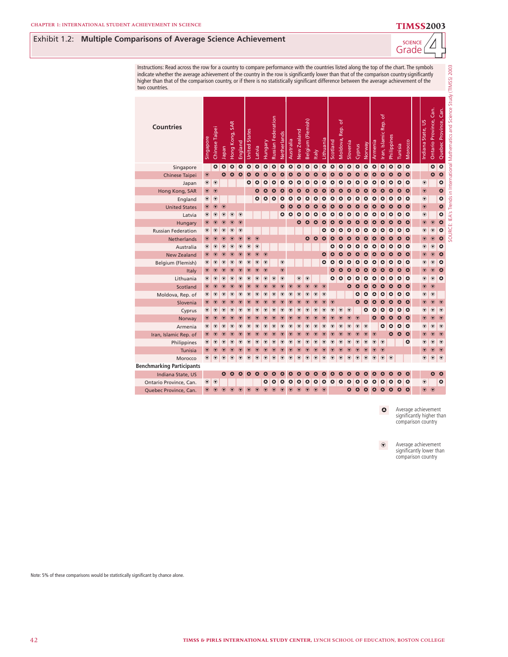## **4** Exhibit 1.2: **Multiple Comparisons of Average Science Achievement Achievement**



| Instructions: Read across the row for a country to compare performance with the countries listed along the top of the chart. The symbols<br>indicate whether the average achievement of the country in the row is significantly lower than that of the comparison country significantly<br>higher than that of the comparison country, or if there is no statistically significant difference between the average achievement of the<br>two countries. |                            |                 |                       |                                   |                      |                      |                   |                   |                        |                      |                      |                   |                       |                   |                 |                 |                                |                           |                           |                       |                            |                       |                      |                   |                   |                                |                           |                             |                                                                                  |
|--------------------------------------------------------------------------------------------------------------------------------------------------------------------------------------------------------------------------------------------------------------------------------------------------------------------------------------------------------------------------------------------------------------------------------------------------------|----------------------------|-----------------|-----------------------|-----------------------------------|----------------------|----------------------|-------------------|-------------------|------------------------|----------------------|----------------------|-------------------|-----------------------|-------------------|-----------------|-----------------|--------------------------------|---------------------------|---------------------------|-----------------------|----------------------------|-----------------------|----------------------|-------------------|-------------------|--------------------------------|---------------------------|-----------------------------|----------------------------------------------------------------------------------|
| <b>Countries</b>                                                                                                                                                                                                                                                                                                                                                                                                                                       | Singapore                  | Chinese Taipei  | Japan                 | Hong Kong, SAR                    | England              | <b>United States</b> | Latvia            | Hungary           | Russian Federation     | Netherlands          | Australia            | New Zealand       | Belgium (Flemish)     | taly              | Lithuania       | Scotland        | Rep. of<br>Moldova,            | Slovenia                  | Cyprus                    | Norway                | Armenia                    | Iran, Islamic Rep. of | Philippines          | Tunisia           | Morocco           | ndiana State, US               | Gan.<br>Ontario Province, | Can.<br>Province,<br>Quebec | SOURCE: IEA's Trends in International Mathematics and Science Study (TIMSS) 2003 |
| Singapore                                                                                                                                                                                                                                                                                                                                                                                                                                              |                            | $\bullet$       | $\bullet$             | $\bullet$                         | ٥                    | $\bullet$            | $\bullet$         | $\bullet$         | $\bullet$              | $\bullet$            | $\bullet$            | $\bullet$         | ٥                     | ٥                 | ٥               | ٥               | $\bullet$                      | $\boldsymbol{\Omega}$     | $\mathbf{\Omega}$         | $\bullet$             | $\Omega$                   | $\bullet$             | $\bullet$            | $\bullet$         | $\bullet$         |                                | $\bullet$                 | $\bullet$                   |                                                                                  |
| <b>Chinese Taipei</b>                                                                                                                                                                                                                                                                                                                                                                                                                                  | $_{\textstyle\odot}$       |                 | $\mathbf{\Omega}$     | Δ                                 | $\bullet$            | $\bullet$            | $\mathbf{\Omega}$ | $\mathbf{\Omega}$ | $\mathbf{\Omega}$      | $\mathbf{\Omega}$    | $\mathbf{\Omega}$    | Δ                 | $\sqrt{ }$            | ⋂                 | ⋂               | Λ               | $\boldsymbol{\mathsf{\Omega}}$ | $\boldsymbol{\Omega}$     | $\boldsymbol{\alpha}$     | $\boldsymbol{\Omega}$ | $\mathbf{\Omega}$          | $\boldsymbol{\alpha}$ | $\boldsymbol{\circ}$ | $\mathbf{\Omega}$ | $\bullet$         |                                | $\bullet$                 | $\bullet$                   |                                                                                  |
| Japan                                                                                                                                                                                                                                                                                                                                                                                                                                                  | $\textcircled{\textbf{r}}$ | $\odot$         |                       |                                   |                      | ٥                    | ٥                 | ٥                 | $\mathbf{\Omega}$      | ٥                    | ٥                    | Δ                 | Δ                     | Δ                 | Δ               | ٥               | Δ                              | ⌒                         | ⋂                         | $\circ$               | Δ                          | Δ                     | ≏                    | ٥                 | $\bullet$         | $^{\circ}$                     |                           | $\bullet$                   |                                                                                  |
| Hong Kong, SAR                                                                                                                                                                                                                                                                                                                                                                                                                                         | $\circledcirc$             | $\odot$         |                       |                                   |                      |                      | $\mathbf{\Omega}$ | $\bullet$         | $\mathbf{\Omega}$      | Δ                    | Δ                    | Δ                 | $\boldsymbol{\Omega}$ | Δ                 |                 | Δ               | $\boldsymbol{\Omega}$          |                           | Δ                         | Δ                     | Δ                          | Δ                     | Δ                    | Δ                 | $\mathbf{o}$      | $\circledcirc$                 |                           | $\bullet$                   |                                                                                  |
| England                                                                                                                                                                                                                                                                                                                                                                                                                                                | $^\circledR$               | $^{\circ}$      |                       |                                   |                      |                      | $\bullet$         | $\bullet$         | $\bullet$              | $\bullet$            | ٥                    | $\mathbf{\Omega}$ | $\mathbf{\Omega}$     | ٥                 | ٥               | ٥               | $\bullet$                      | Δ                         | $\mathbf{\Omega}$         | $\circ$               | $\bullet$                  | $\circ$               | $\circ$              | ٥                 | $\circ$           | $_{\textstyle\odot}$           |                           | $\bullet$                   |                                                                                  |
| <b>United States</b>                                                                                                                                                                                                                                                                                                                                                                                                                                   | $\circledcirc$             | $\circledcirc$  | $\odot$               |                                   |                      |                      |                   |                   |                        | $\mathbf{\Omega}$    | $\bullet$            | ٥                 | ٥                     | ٥                 | Δ               | $\bullet$       | $\bullet$                      | ٥                         | $\bullet$                 | $\bullet$             | $\circ$                    | ٥                     | $\bullet$            | $\bullet$         | $\circ$           | $\circledcirc$                 |                           | $\bullet$                   |                                                                                  |
| Latvia                                                                                                                                                                                                                                                                                                                                                                                                                                                 | $^{\circ}$                 | $^{\circ}$      | $^{\circ}$            | $^{\circ}$                        | $^{\circ}$           |                      |                   |                   |                        | $\bullet$            | $\mathbf{\Omega}$    | Δ                 | Δ                     | Δ                 | Δ               | Δ               | Δ                              | Δ                         | Δ                         | Δ                     | Δ                          | Δ                     | ٥                    | ٥                 | $\circ$           | $^{\circ}$                     |                           | $\bullet$                   |                                                                                  |
| Hungary                                                                                                                                                                                                                                                                                                                                                                                                                                                | $\circledast$              | $\odot$         | $\bf \widehat{\bf v}$ | $^{\circ}$                        | $\odot$              |                      |                   |                   |                        |                      |                      | $\mathbf{\Omega}$ |                       |                   | Δ               | Δ               | $\boldsymbol{\mathsf{c}}$      |                           | $\mathbf{\Omega}$         | $\mathbf{\Omega}$     | $\mathbf{\Omega}$          | $\mathbf{\Omega}$     | $\mathbf{\Omega}$    | $\mathbf{\Omega}$ | $\bullet$         | $_{\textcolor{red}{\bigcirc}}$ | $^{\circ}$                | $\bullet$                   |                                                                                  |
| <b>Russian Federation</b>                                                                                                                                                                                                                                                                                                                                                                                                                              | $^{\circ}$                 | $^\circledR$    | ◉                     | $^\circledR$                      | $^{\circ}$           |                      |                   |                   |                        |                      |                      |                   |                       |                   | ٥               | ٥               | $\circ$                        | $\mathbf{\Omega}$         | $\mathbf{\Omega}$         | $\bullet$             | ٥                          | $\circ$               | $\bullet$            | $\bullet$         | $\bullet$         | $^{\circ}$                     | $^{\circ}$                | $\bullet$                   |                                                                                  |
| <b>Netherlands</b>                                                                                                                                                                                                                                                                                                                                                                                                                                     | $\circledast$              | $^{\circ}$      | $\bigodot$            | $^{\circ}$                        | $^{\circ}$           | $^\circledR$         | $\odot$           |                   |                        |                      |                      |                   | $\bullet$             | $\mathbf{\Omega}$ | Δ               | Δ               | $\boldsymbol{\sigma}$          | $\boldsymbol{\sigma}$     | $\boldsymbol{\mathsf{c}}$ | Δ                     | $\mathbf{\Omega}$          | Δ                     | ٥                    | $\mathbf{\Omega}$ | $\bullet$         | $^{\circ}$                     | $\circledcirc$            | $\bullet$                   |                                                                                  |
| Australia                                                                                                                                                                                                                                                                                                                                                                                                                                              | ◉                          | $^\circledR$    | $^\circledR$          | $^\circledR$                      | $^\circledR$         | $^\circledR$         | $^{\circ}$        |                   |                        |                      |                      |                   |                       |                   |                 | Δ               | $\mathbf{\Omega}$              | $\mathbf{\Omega}$         | Δ                         | $\circ$               | $\mathbf{\Omega}$          | $\mathbf{\Omega}$     | $\bullet$            | ٥                 | $\bullet$         | $^\circledR$                   | $\circledast$             | $\bullet$                   |                                                                                  |
| <b>New Zealand</b>                                                                                                                                                                                                                                                                                                                                                                                                                                     | ◉                          | $^{\circ}$      | $^{\circ}$            | $^{\circ}$                        | $\odot$              | $^{\copyright}$      | $^{\circ}$        | $^{\circ}$        |                        |                      |                      |                   |                       |                   | Δ               | Δ               | $\boldsymbol{\mathsf{c}}$      | Δ                         |                           |                       | Δ                          | Δ                     |                      | Δ                 | $\bullet$         | $^{\circ}$                     | $\bigcirc$                | $\mathbf{\Omega}$           |                                                                                  |
| Belgium (Flemish)                                                                                                                                                                                                                                                                                                                                                                                                                                      | $^{\circ}$                 | $^{\circ}$      | $^\circledR$          | ◉                                 | $^{\circ}$           | $^\circledR$         | $^{\circ}$        | $\circledast$     |                        | $\odot$              |                      |                   |                       |                   | Δ               | Δ               | Δ                              | Δ                         |                           | Δ                     | Δ                          | Δ                     | ≏                    | Δ                 | $\bullet$         | $^{\circ}$                     | $\circledast$             | ٥                           |                                                                                  |
| Italy                                                                                                                                                                                                                                                                                                                                                                                                                                                  | $\circledast$              | $^{\circ}$      | $^{\circ}$            | $\bigodot$                        | $\bigcirc$           | $^{\copyright}$      | $^{\circ}$        | $\circledcirc$    |                        | $\circledast$        |                      |                   |                       |                   |                 | $\bullet$       | $\bullet$                      | $\boldsymbol{\mathsf{c}}$ | Δ                         | Δ                     | $\Omega$                   | Δ                     | $\mathbf{\Omega}$    | $\mathbf{\Omega}$ | $\mathbf{\Omega}$ | $^\circledR$                   | $\bigodot$                | $\bullet$                   |                                                                                  |
| Lithuania                                                                                                                                                                                                                                                                                                                                                                                                                                              | $^{\circ}$                 | $^{\circ}$      | $^\circledR$          | $^{\circ}$                        | $^{\circ}$           | $^{\circ}$           | $^{\circ}$        | $^\circledR$      | $^{\circ}$             | $^{\circ}$           |                      | $\circledast$     | $^{\circ}$            |                   |                 | $\bullet$       | $\bullet$                      | $\circ$                   | ٥                         | $\bullet$             | $\bullet$                  | $\circ$               | ٥                    | ٥                 | $\bullet$         | $^\circledR$                   | $^{\circ}$                | $\circ$                     |                                                                                  |
| Scotland                                                                                                                                                                                                                                                                                                                                                                                                                                               | $\bigodot$                 | $^{\copyright}$ | $^{\circ}$            | $\circledcirc$                    | $^{\copyright}$      | $^{\circ}$           | $^{\circ}$        | $^{\circ}$        | $^{\circ}$             | $\circledcirc$       | $^{\circ}$           | $\odot$           | $\odot$               | $\odot$           | $\odot$         |                 |                                | $\mathbf{\Omega}$         | $\boldsymbol{\mathsf{c}}$ | Δ                     | $\boldsymbol{\alpha}$      | Δ                     | $\mathbf{\Omega}$    | $\mathbf{\Omega}$ | $\mathbf{o}$      | $^{\circ}$                     | $\odot$                   |                             |                                                                                  |
| Moldova, Rep. of                                                                                                                                                                                                                                                                                                                                                                                                                                       | ◉                          | ◉               | $^{\copyright}$       | $^\circledR$                      | $^{\circ}$           | $^\circledR$         | $^{\circ}$        | $^{\circ}$        | $^\circledR$           | $^{\circ}$           | $^{\circ}$           | $^\circledR$      | $^{\circ}$            | $^\circledR$      | $^{\circ}$      |                 |                                |                           | ٥                         | Δ                     | Δ                          | ٥                     | ٥                    | ٥                 | $\circ$           | $^\circledR$                   | $^\circledR$              |                             |                                                                                  |
| Slovenia                                                                                                                                                                                                                                                                                                                                                                                                                                               | $\bigcirc$                 | $\odot$         | $^\circledR$          | $\circledcirc$                    | $\odot$              | $^\copyright$        | $^{\circ}$        | $^{\circ}$        | $^{\circ}$             | $^{\circ}$           | $_{\textstyle\odot}$ | $\circledcirc$    | $^{\circ}$            | $\odot$           | $^{\copyright}$ | $^{\copyright}$ |                                |                           | $\bullet$                 | $\mathbf{\Omega}$     | $\mathbf{\Omega}$          | Δ                     | $\mathbf{\Omega}$    | $\mathbf{\Omega}$ | $\bullet$         | $_{\textstyle\odot}$           | $\circledcirc$            | $\mathcal G$                |                                                                                  |
| Cyprus                                                                                                                                                                                                                                                                                                                                                                                                                                                 | $^{\circ}$                 | $^\circledR$    | $^\circledR$          | $^{\circ}$                        | $^{\circ}$           | $^\copyright$        | $^{\circ}$        | $^{\circ}$        | $^\circledR$           | $^{\circ}$           | $^\circledR$         | $^\circledR$      | $^{\circ}$            | $^{\circ}$        | $\circledast$   | $\circledast$   | $\bigcirc$                     | $\bigcirc$                |                           | $\bullet$             | $\Omega$                   | $\circ$               | $\mathbf{\Omega}$    | ٥                 | $\bullet$         | $^{\circ}$                     | $^{\circ}$                | $\circledast$               |                                                                                  |
| Norway                                                                                                                                                                                                                                                                                                                                                                                                                                                 | $^\circledR$               | $^{\circ}$      | $\circledcirc$        | $\bigodot$                        | $_{\textstyle\odot}$ | $^{\circ}$           | $^{\circ}$        | $^{\circ}$        | $\odot$                | $^{\circ}$           | $^{\circ}$           | $\circledcirc$    | $\odot$               | $\odot$           | $^\copyright$   | $^{\copyright}$ | $\bigcirc$                     | $\odot$                   | $\bigodot$                |                       | $\mathbf{\Omega}$          | Δ                     | $\boldsymbol{\circ}$ | ٥                 | $\bullet$         | $^{\circ}$                     | $\circledcirc$            | $^{\circ}$                  |                                                                                  |
| Armenia                                                                                                                                                                                                                                                                                                                                                                                                                                                | $^{\circ}$                 | $^{\circ}$      | $^\circledR$          | $^{\circ}$                        | $^{\circ}$           | $^{\circ}$           | $^{\circ}$        | $^{\circ}$        | $^\circledR$           | $^{\circ}$           | $^{\circ}$           | $^\circledR$      | $^\circledR$          | $^{\circ}$        | $^{\circ}$      | $^{\circ}$      | $^{\circ}$                     | $^{\circ}$                | $^{\circ}$                | $^{\circ}$            |                            | ٥                     | $\bullet$            | $\bullet$         | $\bullet$         | $_{\textstyle\odot}$           | $^{\circ}$                | $^{\circ}$                  |                                                                                  |
| Iran, Islamic Rep. of                                                                                                                                                                                                                                                                                                                                                                                                                                  | $\bigcirc$                 | $\circledcirc$  | $\bigcirc$            | $\left( \bigtriangledown \right)$ | $\bigcirc$           | $_{\textstyle\odot}$ | $\bigcirc$        | $\bigcirc$        | $\odot$                | $\circledcirc$       | $^{\circ}$           | $\odot$           | $\odot$               | $\bigodot$        | $\bigodot$      | $\bigcirc$      | $\bigodot$                     | $\bigodot$                | $\bigcirc$                | $\odot$               | $\odot$                    |                       | $\bullet$            | $\bullet$         | $\bullet$         | $\bigcirc$                     | $\bigcirc$                | $\odot$                     |                                                                                  |
| Philippines                                                                                                                                                                                                                                                                                                                                                                                                                                            | ◉                          | ◉               | ◉                     | ◉                                 | ◉                    | ◉                    | ◉                 | $^\circledR$      | ◉                      | $_{\textstyle\odot}$ | $_{\textstyle\odot}$ | ◉                 | $^\circledR$          | ◉                 | ◉               | $^\circledR$    | $^{\copyright}$                | $^{\circ}$                | ◉                         | $^\circledR$          | $^\circledR$               | $^\circledR$          |                      |                   | ہ                 | $^\circledR$                   | $^{\circ}$                | $^{\circ}$                  |                                                                                  |
| <b>Tunisia</b>                                                                                                                                                                                                                                                                                                                                                                                                                                         | $\circledast$              | $^\copyright$   | $^\copyright$         | $\circledcirc$                    | $^{\circ}$           | $^\copyright$        | $\odot$           | $^{\circ}$        | $\circledcirc$         | $\circledcirc$       | $^{\circ}$           | $\circledcirc$    | $^{\circ}$            | $\circledcirc$    | $^\copyright$   | $^{\circ}$      | $\circledcirc$                 | $\circledcirc$            | $\circledcirc$            | $\circledcirc$        | $\textcircled{\textbf{t}}$ | $\circledcirc$        |                      |                   |                   | $^{\circ}$                     | $^{\circ}$                | $^{\circ}$                  |                                                                                  |
| Morocco                                                                                                                                                                                                                                                                                                                                                                                                                                                | $\circledast$              | $\circledast$   | $\circledast$         | $\bigcirc$                        | $\circledast$        | $\circledast$        | $\circledast$     | $\bigcirc$        | $\bigcirc$             | $\circledast$        | $\circledast$        | $\bigcirc$        | $\circledast$         | $\circledast$     | $\circledast$   | $\circledast$   | $\bigcirc$                     | $\bigcirc$                | $\bigcirc$                | $\circledast$         | $\bigcirc$                 | $\bigcirc$            | $\circledast$        |                   |                   | $^{\circ}$                     | $\circledast$             | $\bigcirc$                  |                                                                                  |
| <b>Benchmarking Participants</b>                                                                                                                                                                                                                                                                                                                                                                                                                       |                            |                 |                       |                                   |                      |                      |                   |                   |                        |                      |                      |                   |                       |                   |                 |                 |                                |                           |                           |                       |                            |                       |                      |                   |                   |                                |                           |                             |                                                                                  |
| Indiana State, US                                                                                                                                                                                                                                                                                                                                                                                                                                      |                            |                 | $\bullet$             | $\mathbf{\Omega}$                 | $\mathbf{\Omega}$    | $\mathbf{\Omega}$    | $\mathbf{\Omega}$ |                   |                        |                      |                      |                   |                       |                   |                 |                 |                                |                           |                           |                       |                            |                       |                      |                   | $\bullet$         |                                | $\mathbf{\Omega}$         | $\bullet$                   |                                                                                  |
| Ontario Province, Can.                                                                                                                                                                                                                                                                                                                                                                                                                                 | ◉                          | $^{\circ}$      |                       |                                   |                      |                      |                   | ٥                 |                        | ٥                    | ٥                    | ٥                 | ٥                     | ٥                 | ٥               | ٥               | ٥                              | ٥                         | ٥                         | ٥                     | Δ                          | Δ                     | ٥                    |                   | $\bullet$         | $^{\circ}$                     |                           | $\bullet$                   |                                                                                  |
| Quebec Province, Can.                                                                                                                                                                                                                                                                                                                                                                                                                                  | $\textcircled{\textbf{r}}$ | $\bigcirc$      | $\bigcirc$            | $\widehat{\mathbf{v}}$            |                      |                      | $\bigcirc$        | $\bigodot$        | $\widehat{\mathbf{v}}$ |                      |                      |                   |                       |                   |                 |                 |                                | Δ                         | Δ                         | Δ                     | Δ                          | Δ                     | Δ                    |                   | $\mathbf{\Omega}$ | $\bigcirc$                     | $\bigodot$                |                             |                                                                                  |

Average achievement significantly higher than comparison country  $\bullet$ 

Average achievement significantly lower than comparison country  $\circledcirc$ 

Note: 5% of these comparisons would be statistically significant by chance alone.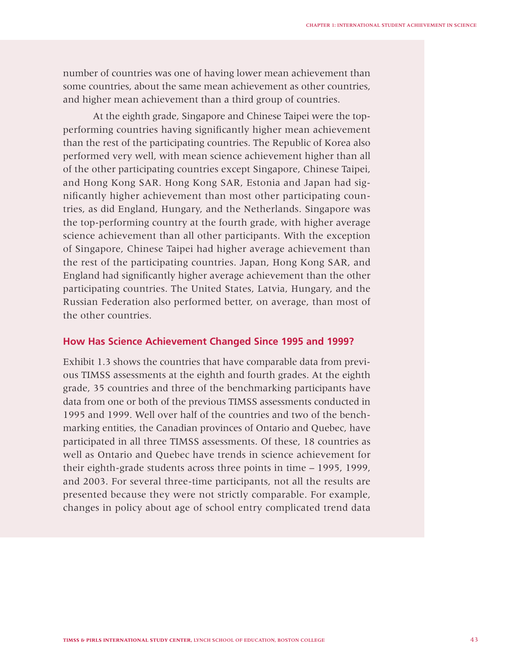number of countries was one of having lower mean achievement than some countries, about the same mean achievement as other countries, and higher mean achievement than a third group of countries.

At the eighth grade, Singapore and Chinese Taipei were the topperforming countries having significantly higher mean achievement than the rest of the participating countries. The Republic of Korea also performed very well, with mean science achievement higher than all of the other participating countries except Singapore, Chinese Taipei, and Hong Kong SAR. Hong Kong SAR, Estonia and Japan had significantly higher achievement than most other participating countries, as did England, Hungary, and the Netherlands. Singapore was the top-performing country at the fourth grade, with higher average science achievement than all other participants. With the exception of Singapore, Chinese Taipei had higher average achievement than the rest of the participating countries. Japan, Hong Kong SAR, and England had significantly higher average achievement than the other participating countries. The United States, Latvia, Hungary, and the Russian Federation also performed better, on average, than most of the other countries.

## **How Has Science Achievement Changed Since 1995 and 1999?**

Exhibit 1.3 shows the countries that have comparable data from previous TIMSS assessments at the eighth and fourth grades. At the eighth grade, 35 countries and three of the benchmarking participants have data from one or both of the previous TIMSS assessments conducted in 1995 and 1999. Well over half of the countries and two of the benchmarking entities, the Canadian provinces of Ontario and Quebec, have participated in all three TIMSS assessments. Of these, 18 countries as well as Ontario and Quebec have trends in science achievement for their eighth-grade students across three points in time – 1995, 1999, and 2003. For several three-time participants, not all the results are presented because they were not strictly comparable. For example, changes in policy about age of school entry complicated trend data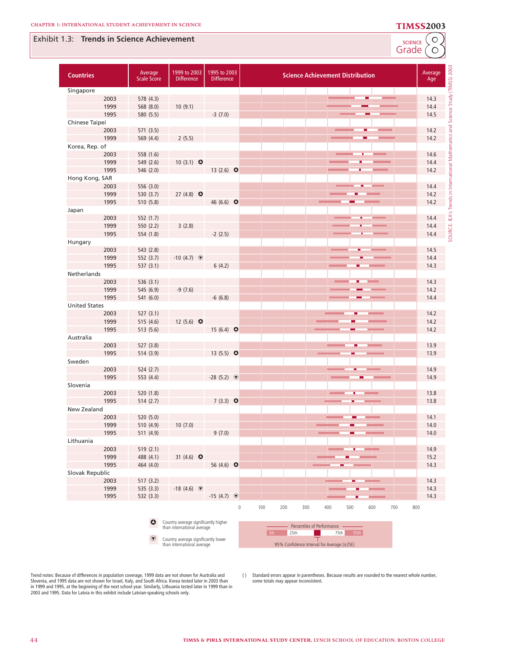### Exhibit 1.3: **Trends in Science Achievement**

SCIENCE<sup>C</sup>O

| <b>Countries</b>     | Average<br><b>Scale Score</b> | 1999 to 2003<br><b>Difference</b>                                  | 1995 to 2003<br><b>Difference</b> | <b>Science Achievement Distribution</b>                                     | <b>TIMSS) 200</b><br>Average<br>Age |
|----------------------|-------------------------------|--------------------------------------------------------------------|-----------------------------------|-----------------------------------------------------------------------------|-------------------------------------|
| Singapore            |                               |                                                                    |                                   |                                                                             |                                     |
| 2003                 | 578 (4.3)                     |                                                                    |                                   |                                                                             | 14.3                                |
| 1999                 | 568 (8.0)                     | 10(9.1)                                                            |                                   |                                                                             | 14.4                                |
| 1995                 | 580 (5.5)                     |                                                                    | $-3(7.0)$                         |                                                                             | 14.5                                |
| Chinese Taipei       |                               |                                                                    |                                   |                                                                             |                                     |
| 2003                 | 571 (3.5)                     |                                                                    |                                   | ш                                                                           | 14.2                                |
| 1999                 | 569 (4.4)                     | 2(5.5)                                                             |                                   |                                                                             | 14.2                                |
| Korea, Rep. of       |                               |                                                                    |                                   |                                                                             |                                     |
| 2003                 | 558 (1.6)                     |                                                                    |                                   |                                                                             | Mathe<br>14.6                       |
| 1999                 | 549 (2.6)                     | 10 $(3.1)$ $\bullet$                                               |                                   |                                                                             | 14.4                                |
| 1995                 | 546 (2.0)                     |                                                                    | 13 $(2.6)$ $\bullet$              |                                                                             | 14.2                                |
| Hong Kong, SAR       |                               |                                                                    |                                   |                                                                             |                                     |
| 2003                 | 556 (3.0)                     |                                                                    |                                   |                                                                             | 14.4                                |
| 1999                 | 530 (3.7)                     | 27 $(4.8)$ $\bullet$                                               |                                   |                                                                             | £,<br>14.2                          |
| 1995                 | 510 (5.8)                     |                                                                    | 46 (6.6) $\bullet$                |                                                                             | Trends<br>14.2                      |
| Japan                |                               |                                                                    |                                   |                                                                             |                                     |
| 2003                 | 552 (1.7)                     |                                                                    |                                   |                                                                             | 14.4                                |
| 1999                 | 550 (2.2)                     | 3(2.8)                                                             |                                   |                                                                             | 14.4                                |
| 1995                 | 554 (1.8)                     |                                                                    | $-2(2.5)$                         |                                                                             | SOURCE: IEA's<br>14.4               |
| Hungary              |                               |                                                                    |                                   |                                                                             |                                     |
| 2003                 | 543 (2.8)                     |                                                                    |                                   |                                                                             | 14.5                                |
| 1999                 | 552 (3.7)                     | $-10(4.7)$                                                         |                                   |                                                                             | 14.4                                |
| 1995                 | 537(3.1)                      |                                                                    | 6(4.2)                            |                                                                             | 14.3                                |
| Netherlands          |                               |                                                                    |                                   |                                                                             |                                     |
| 2003                 | 536 (3.1)                     |                                                                    |                                   |                                                                             | 14.3                                |
| 1999                 | 545 (6.9)                     | $-9(7.6)$                                                          |                                   |                                                                             | 14.2                                |
| 1995                 | 541 (6.0)                     |                                                                    | $-6(6.8)$                         |                                                                             | 14.4                                |
| <b>United States</b> |                               |                                                                    |                                   |                                                                             |                                     |
| 2003                 | 527(3.1)                      |                                                                    |                                   |                                                                             | 14.2                                |
| 1999                 | 515 (4.6)                     | 12 $(5.6)$ $\bullet$                                               |                                   |                                                                             | 14.2                                |
| 1995                 | 513 (5.6)                     |                                                                    | 15 $(6.4)$ O                      |                                                                             | 14.2                                |
| Australia            |                               |                                                                    |                                   |                                                                             |                                     |
| 2003                 | 527 (3.8)                     |                                                                    |                                   |                                                                             | 13.9                                |
| 1995                 | 514 (3.9)                     |                                                                    | 13 $(5.5)$ $\bullet$              |                                                                             | 13.9                                |
| Sweden               |                               |                                                                    |                                   |                                                                             |                                     |
| 2003                 | 524 (2.7)                     |                                                                    |                                   |                                                                             | 14.9                                |
| 1995                 | 553 (4.4)                     |                                                                    | $-28(5.2)$                        |                                                                             | 14.9                                |
| Slovenia             |                               |                                                                    |                                   |                                                                             |                                     |
| 2003                 | 520 (1.8)                     |                                                                    |                                   |                                                                             | 13.8                                |
| 1995                 | 514 (2.7)                     |                                                                    | 7 $(3.3)$ $\bullet$               |                                                                             | 13.8                                |
| New Zealand          |                               |                                                                    |                                   |                                                                             |                                     |
| 2003                 | 520 (5.0)                     |                                                                    |                                   |                                                                             | 14.1                                |
| 1999                 | 510 (4.9)                     | 10(7.0)                                                            |                                   |                                                                             | 14.0                                |
| 1995                 | 511 (4.9)                     |                                                                    | 9(7.0)                            |                                                                             | 14.0                                |
| Lithuania            |                               |                                                                    |                                   |                                                                             |                                     |
| 2003                 | 519 (2.1)                     |                                                                    |                                   |                                                                             | 14.9                                |
| 1999                 | 488 (4.1)                     | 31 $(4.6)$ O                                                       |                                   |                                                                             | 15.2                                |
| 1995                 | 464 (4.0)                     |                                                                    | 56 (4.6) $\bullet$                |                                                                             | 14.3                                |
| Slovak Republic      |                               |                                                                    |                                   |                                                                             |                                     |
| 2003                 | 517(3.2)                      |                                                                    |                                   |                                                                             | 14.3                                |
| 1999                 | 535 (3.3)                     | $-18(4.6)$                                                         |                                   |                                                                             | 14.3                                |
| 1995                 | 532 (3.3)                     |                                                                    | $-15(4.7)$                        |                                                                             | 14.3                                |
|                      |                               |                                                                    |                                   | 100<br>200<br>300<br>700<br>$\mathsf{O}\xspace$<br>400<br>500<br>600<br>800 |                                     |
|                      | $\bullet$                     | Country average significantly higher<br>than international average |                                   | Percentiles of Performance -                                                |                                     |

5th

Trend notes: Because of differences in population coverage, 1999 data are not shown for Australia and<br>Slovenia, and 1995 data are not shown for Israel, Italy, and South Africa. Korea tested later in 2003 than<br>in 1999 and 1

 $\textcircled{\textbf{t}}$ 

Country average significantly lower than international average

( ) Standard errors appear in parentheses. Because results are rounded to the nearest whole number, some totals may appear inconsistent.

**25th** 75th 95th 95% Confidence Interval for Average (±2SE)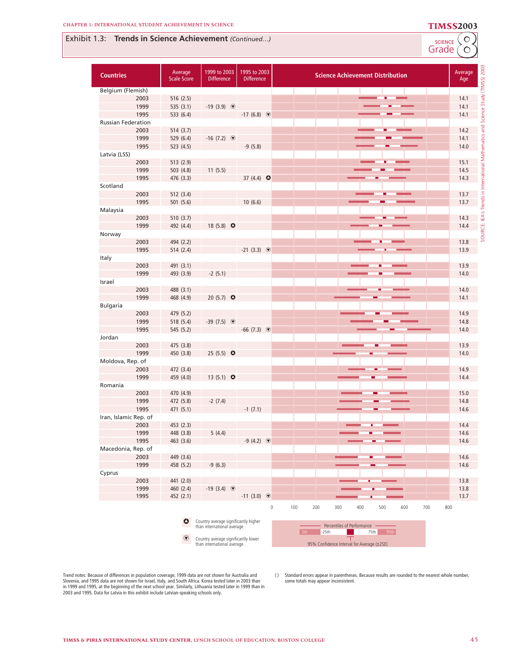## **8** Exhibit 1.3: **Trends in Science Achievement** *(Continued...)*<br>Grade *(O*



Grade SCIENCE

SOURCE: IEA's Trends in International Mathematics and Science Study (TIMSS) 2003

SOURCE: IEA's Trends in International Mathematics and Science Study (TIMSS) 2003

| <b>Countries</b>          |      | Average<br><b>Scale Score</b> | 1999 to 2003<br><b>Difference</b>                                  | 1995 to 2003<br><b>Difference</b> | <b>Science Achievement Distribution</b>                             | Average<br>Age |
|---------------------------|------|-------------------------------|--------------------------------------------------------------------|-----------------------------------|---------------------------------------------------------------------|----------------|
| Belgium (Flemish)         |      |                               |                                                                    |                                   |                                                                     |                |
|                           | 2003 | 516(2.5)                      |                                                                    |                                   |                                                                     | 14.1           |
|                           | 1999 | 535 (3.1)                     | $-19(3.9)$                                                         |                                   |                                                                     | 14.1           |
|                           | 1995 | 533 (6.4)                     |                                                                    | $-17(6.8)$                        |                                                                     | 14.1           |
| <b>Russian Federation</b> |      |                               |                                                                    |                                   |                                                                     |                |
|                           | 2003 | 514 (3.7)                     |                                                                    |                                   |                                                                     | 14.2           |
|                           | 1999 | 529 (6.4)                     | $-16(7.2)$                                                         |                                   |                                                                     | 14.1           |
|                           | 1995 | 523 (4.5)                     |                                                                    | $-9(5.8)$                         |                                                                     | 14.0           |
| Latvia (LSS)              |      |                               |                                                                    |                                   |                                                                     |                |
|                           | 2003 | 513 (2.9)                     |                                                                    |                                   |                                                                     | 15.1           |
|                           | 1999 | 503 (4.8)                     | 11(5.5)                                                            |                                   |                                                                     | 14.5           |
|                           | 1995 | 476 (3.3)                     |                                                                    | 37 $(4.4)$ $\bullet$              |                                                                     | 14.3           |
| Scotland                  |      |                               |                                                                    |                                   |                                                                     |                |
|                           | 2003 | 512 (3.4)                     |                                                                    |                                   |                                                                     | 13.7           |
|                           | 1995 | 501 (5.6)                     |                                                                    | 10(6.6)                           |                                                                     | 13.7           |
| Malaysia                  |      |                               |                                                                    |                                   |                                                                     |                |
|                           |      |                               |                                                                    |                                   |                                                                     | 14.3           |
|                           | 2003 | 510 (3.7)                     |                                                                    |                                   |                                                                     |                |
|                           | 1999 | 492 (4.4)                     | 18 $(5.8)$ O                                                       |                                   |                                                                     | 14.4           |
| Norway                    |      |                               |                                                                    |                                   |                                                                     |                |
|                           | 2003 | 494 (2.2)                     |                                                                    |                                   |                                                                     | 13.8           |
|                           | 1995 | 514 (2.4)                     |                                                                    | $-21(3.3)$                        |                                                                     | 13.9           |
| Italy                     |      |                               |                                                                    |                                   |                                                                     |                |
|                           | 2003 | 491 (3.1)                     |                                                                    |                                   |                                                                     | 13.9           |
|                           | 1999 | 493 (3.9)                     | $-2(5.1)$                                                          |                                   |                                                                     | 14.0           |
| Israel                    |      |                               |                                                                    |                                   |                                                                     |                |
|                           | 2003 | 488 (3.1)                     |                                                                    |                                   |                                                                     | 14.0           |
|                           | 1999 | 468 (4.9)                     | 20 $(5.7)$ $\bullet$                                               |                                   | ╸                                                                   | 14.1           |
| <b>Bulgaria</b>           |      |                               |                                                                    |                                   |                                                                     |                |
|                           | 2003 | 479 (5.2)                     |                                                                    |                                   |                                                                     | 14.9           |
|                           | 1999 | 518 (5.4)                     | $-39(7.5)$ $\circledast$                                           |                                   |                                                                     | 14.8           |
|                           | 1995 | 545 (5.2)                     |                                                                    | $-66$ (7.3) $\circledcirc$        |                                                                     | 14.0           |
| Jordan                    |      |                               |                                                                    |                                   |                                                                     |                |
|                           | 2003 | 475 (3.8)                     |                                                                    |                                   |                                                                     | 13.9           |
|                           | 1999 | 450 (3.8)                     | 25 (5.5) $\bullet$                                                 |                                   |                                                                     | 14.0           |
| Moldova, Rep. of          |      |                               |                                                                    |                                   |                                                                     |                |
|                           | 2003 | 472 (3.4)                     |                                                                    |                                   |                                                                     | 14.9           |
|                           | 1999 | 459 (4.0)                     | 13 $(5.1)$ $\bullet$                                               |                                   | ۰                                                                   | 14.4           |
| Romania                   |      |                               |                                                                    |                                   |                                                                     |                |
|                           | 2003 | 470 (4.9)                     |                                                                    |                                   |                                                                     | 15.0           |
|                           | 1999 | 472 (5.8)                     | $-2(7.4)$                                                          |                                   |                                                                     | 14.8           |
|                           | 1995 | 471 (5.1)                     |                                                                    | $-1(7.1)$                         |                                                                     | 14.6           |
| Iran, Islamic Rep. of     |      |                               |                                                                    |                                   |                                                                     |                |
|                           | 2003 | 453 (2.3)                     |                                                                    |                                   |                                                                     | 14.4           |
|                           | 1999 | 448 (3.8)                     | 5(4.4)                                                             |                                   |                                                                     | 14.6           |
|                           | 1995 | 463 (3.6)                     |                                                                    | $-9(4.2)$ $\circledcirc$          |                                                                     | 14.6           |
| Macedonia, Rep. of        |      |                               |                                                                    |                                   |                                                                     |                |
|                           | 2003 | 449 (3.6)                     |                                                                    |                                   | ٠                                                                   | 14.6           |
|                           | 1999 | 458 (5.2)                     | $-9(6.3)$                                                          |                                   |                                                                     | 14.6           |
|                           |      |                               |                                                                    |                                   |                                                                     |                |
| Cyprus                    |      |                               |                                                                    |                                   |                                                                     |                |
|                           | 2003 | 441 (2.0)                     |                                                                    |                                   |                                                                     | 13.8           |
|                           | 1999 | 460 (2.4)                     | $-19(3.4)$                                                         |                                   |                                                                     | 13.8           |
|                           | 1995 | 452 (2.1)                     |                                                                    | $-11(3.0)$ $\circledcirc$         |                                                                     | 13.7           |
|                           |      |                               |                                                                    |                                   | 100<br>$\mathbb O$<br>200<br>300<br>400<br>500<br>600<br>700<br>800 |                |
|                           |      |                               |                                                                    |                                   |                                                                     |                |
|                           |      | $\bullet$                     | Country average significantly higher<br>than international average |                                   | Percentiles of Performance                                          |                |
|                           |      |                               |                                                                    |                                   | 20.5 <sub>h</sub>                                                   |                |

**i** Country average significantly lower than international average

5th 25th 75th 95th 95% Confidence Interval for Average (±2SE)

Trend notes: Because of differences in population coverage, 1999 data are not shown for Australia and<br>Slovenia, and 1995 data are not shown for Israel, Italy, and South Africa. Korea tested later in 2003 than<br>in 1999 and 1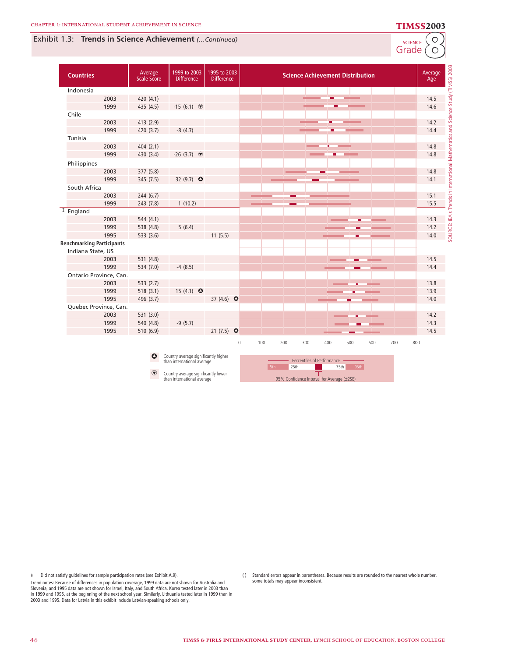### Exhibit 1.3: **Trends in Science Achievement** *(…Continued)*

SCIENCE<sup>C</sup>O

| <b>Countries</b>                 | Average<br><b>Scale Score</b> | 1999 to 2003<br><b>Difference</b>    | 1995 to 2003<br><b>Difference</b> | <b>Science Achievement Distribution</b>                                                           | (TIMSS) 2003<br>Average<br>Age |
|----------------------------------|-------------------------------|--------------------------------------|-----------------------------------|---------------------------------------------------------------------------------------------------|--------------------------------|
| Indonesia                        |                               |                                      |                                   |                                                                                                   |                                |
| 2003                             | 420 (4.1)                     |                                      |                                   |                                                                                                   | Study<br>14.5                  |
| 1999                             | 435 (4.5)                     | $-15(6.1)$                           |                                   |                                                                                                   | 14.6                           |
| Chile                            |                               |                                      |                                   |                                                                                                   | and Science                    |
| 2003                             | 413 (2.9)                     |                                      |                                   |                                                                                                   | 14.2                           |
| 1999                             | 420 (3.7)                     | $-8(4.7)$                            |                                   |                                                                                                   | 14.4                           |
| Tunisia                          |                               |                                      |                                   |                                                                                                   |                                |
| 2003                             | 404 (2.1)                     |                                      |                                   |                                                                                                   | 14.8                           |
| 1999                             | 430 (3.4)                     | $-26(3.7)$                           |                                   | п                                                                                                 | Mathemati<br>14.8              |
| Philippines                      |                               |                                      |                                   |                                                                                                   |                                |
| 2003                             | 377 (5.8)                     |                                      |                                   |                                                                                                   | 14.8                           |
| 1999                             | 345 (7.5)                     | 32 (9.7) $\bullet$                   |                                   |                                                                                                   | 14.1                           |
| South Africa                     |                               |                                      |                                   |                                                                                                   |                                |
| 2003                             | 244 (6.7)                     |                                      |                                   |                                                                                                   | 15.1                           |
| 1999                             | 243 (7.8)                     | 1(10.2)                              |                                   | -                                                                                                 | Trends in<br>15.5              |
| <sup>#</sup> England             |                               |                                      |                                   |                                                                                                   |                                |
| 2003                             | 544 (4.1)                     |                                      |                                   |                                                                                                   | SOURCE: IEA's<br>14.3          |
| 1999                             | 538 (4.8)                     | 5(6.4)                               |                                   |                                                                                                   | 14.2                           |
| 1995                             | 533 (3.6)                     |                                      | 11(5.5)                           |                                                                                                   | 14.0                           |
| <b>Benchmarking Participants</b> |                               |                                      |                                   |                                                                                                   |                                |
| Indiana State, US                |                               |                                      |                                   |                                                                                                   |                                |
| 2003                             | 531 (4.8)                     |                                      |                                   |                                                                                                   | 14.5                           |
| 1999                             | 534 (7.0)                     | $-4(8.5)$                            |                                   |                                                                                                   | 14.4                           |
| Ontario Province, Can.           |                               |                                      |                                   |                                                                                                   |                                |
| 2003                             | 533 $(2.7)$                   |                                      |                                   |                                                                                                   | 13.8                           |
| 1999                             | 518(3.1)                      | 15 $(4.1)$ $\bullet$                 |                                   |                                                                                                   | 13.9                           |
| 1995                             | 496 (3.7)                     |                                      | 37 $(4.6)$ $\bullet$              |                                                                                                   | 14.0                           |
| Quebec Province, Can.            |                               |                                      |                                   |                                                                                                   |                                |
| 2003                             | 531 (3.0)                     |                                      |                                   |                                                                                                   | 14.2                           |
| 1999                             | 540 (4.8)                     | $-9(5.7)$                            |                                   |                                                                                                   | 14.3                           |
| 1995                             | 510 (6.9)                     |                                      | 21 $(7.5)$ $\bullet$              |                                                                                                   | 14.5                           |
|                                  | ٥                             | Country average significantly higher |                                   | $\mathbf 0$<br>100<br>200<br>300<br>400<br>500<br>600<br>700<br>800<br>Percentiles of Performance |                                |
|                                  |                               | than international average           |                                   | 25th<br>75th<br>$-95th$<br>5th                                                                    |                                |

Country average significantly lower than international average  $\odot$ 

95% Confidence Interval for Average (±2SE)

¶ Did not satisfy guidelines for sample participation rates (see Exhibit A.9).

Trend notes: Because of differences in population coverage, 1999 data are not shown for Australia and Slovenia, and 1995 data are not shown for Israel, Italy, and South Africa. Korea tested later in 2003 than<br>in 1999 and 1995, at the beginning of the next school year. Similarly, Lithuania tested later in 1999 than in<br>2003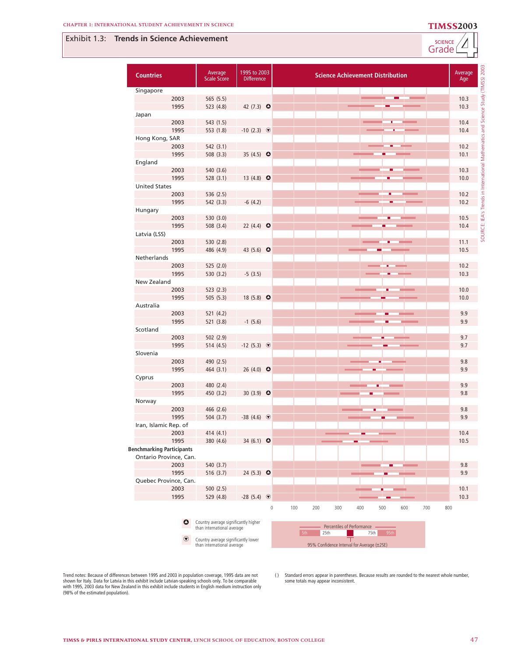## Exhibit 1.3: **Trends in Science Achievement**



Grade SCIENCE **4**

| <b>Countries</b>                 | Average<br><b>Scale Score</b>                                      | 1995 to 2003<br><b>Difference</b> | <b>Science Achievement Distribution</b>                             | Average<br>Age |
|----------------------------------|--------------------------------------------------------------------|-----------------------------------|---------------------------------------------------------------------|----------------|
| Singapore                        |                                                                    |                                   |                                                                     |                |
| 2003                             | 565 (5.5)                                                          |                                   |                                                                     | 10.3           |
| 1995                             | 523 (4.8)                                                          | 42 $(7.3)$ $\bullet$              |                                                                     | 10.3           |
| Japan                            |                                                                    |                                   |                                                                     |                |
| 2003                             | 543 (1.5)                                                          |                                   |                                                                     | 10.4           |
| 1995                             | 553 (1.8)                                                          | $-10(2.3)$ $\circledcirc$         |                                                                     | 10.4           |
| Hong Kong, SAR                   |                                                                    |                                   |                                                                     |                |
| 2003                             | 542 (3.1)                                                          |                                   |                                                                     | 10.2           |
| 1995                             | 508 (3.3)                                                          | 35 $(4.5)$ $\bullet$              |                                                                     | 10.1           |
| England                          |                                                                    |                                   |                                                                     |                |
| 2003                             | 540 (3.6)                                                          |                                   |                                                                     | 10.3           |
| 1995                             | 528 (3.1)                                                          | 13 $(4.8)$ $\bullet$              |                                                                     | 10.0           |
| <b>United States</b>             |                                                                    |                                   |                                                                     |                |
| 2003                             | 536 (2.5)                                                          |                                   |                                                                     | 10.2           |
| 1995                             | 542 (3.3)                                                          | $-6(4.2)$                         |                                                                     | 10.2           |
| Hungary                          |                                                                    |                                   |                                                                     |                |
| 2003                             | 530 (3.0)                                                          |                                   |                                                                     | 10.5           |
| 1995                             | 508 (3.4)                                                          | 22 $(4.4)$ $\bullet$              |                                                                     | 10.4           |
| Latvia (LSS)                     |                                                                    |                                   |                                                                     |                |
| 2003                             | 530 (2.8)                                                          |                                   |                                                                     | 11.1           |
| 1995                             | 486 (4.9)                                                          | 43 $(5.6)$ O                      |                                                                     | 10.5           |
| Netherlands                      |                                                                    |                                   |                                                                     |                |
| 2003                             | 525 (2.0)                                                          |                                   |                                                                     | 10.2           |
| 1995                             | 530 (3.2)                                                          | $-5(3.5)$                         |                                                                     | 10.3           |
| New Zealand                      |                                                                    |                                   |                                                                     |                |
| 2003                             | 523 (2.3)                                                          |                                   |                                                                     | 10.0           |
| 1995                             | 505 (5.3)                                                          | 18 $(5.8)$ $\bullet$              |                                                                     | 10.0           |
| Australia                        |                                                                    |                                   |                                                                     |                |
| 2003                             | 521 (4.2)                                                          |                                   |                                                                     | 9.9            |
| 1995                             | 521 (3.8)                                                          | $-1(5.6)$                         |                                                                     | 9.9            |
| Scotland                         |                                                                    |                                   |                                                                     |                |
| 2003                             | 502 (2.9)                                                          |                                   |                                                                     | 9.7            |
| 1995                             | 514 (4.5)                                                          | $-12(5.3)$ $\circledcirc$         |                                                                     | 9.7            |
| Slovenia                         |                                                                    |                                   |                                                                     |                |
| 2003                             | 490 (2.5)                                                          |                                   |                                                                     | 9.8            |
| 1995                             | 464 (3.1)                                                          | 26 (4.0) $\bullet$                |                                                                     | 9.9            |
|                                  |                                                                    |                                   |                                                                     |                |
| Cyprus<br>2003                   |                                                                    |                                   |                                                                     | 9.9            |
|                                  | 480 (2.4)                                                          |                                   |                                                                     |                |
| 1995                             | 450 (3.2)                                                          | 30 $(3.9)$ $\bullet$              |                                                                     | 9.8            |
| Norway                           |                                                                    |                                   |                                                                     |                |
| 2003                             | 466 (2.6)                                                          |                                   |                                                                     | 9.8            |
| 1995                             | 504 (3.7)                                                          | $-38(4.6)$                        |                                                                     | 9.9            |
| Iran, Islamic Rep. of            |                                                                    |                                   |                                                                     |                |
| 2003                             | 414 (4.1)                                                          |                                   |                                                                     | 10.4           |
| 1995                             | 380 (4.6)                                                          | 34 (6.1) $\bullet$                |                                                                     | 10.5           |
| <b>Benchmarking Participants</b> |                                                                    |                                   |                                                                     |                |
| Ontario Province, Can.           |                                                                    |                                   |                                                                     |                |
| 2003                             | 540 (3.7)                                                          |                                   |                                                                     | 9.8            |
| 1995                             | 516 (3.7)                                                          | 24 (5.3) $\bullet$                |                                                                     | 9.9            |
| Quebec Province, Can.            |                                                                    |                                   |                                                                     |                |
| 2003                             | 500(2.5)                                                           |                                   |                                                                     | 10.1           |
| 1995                             | 529 (4.8)                                                          | $-28(5.4)$                        |                                                                     | 10.3           |
|                                  |                                                                    |                                   | 100<br>200<br>700<br>$\mathbb O$<br>300<br>400<br>500<br>600<br>800 |                |
| $\bullet$                        | Country average significantly higher<br>than international average |                                   | Percentiles of Performance<br>25th<br>75th<br>5th<br>95th           |                |
| $\odot$                          | Country average significantly lower<br>than international average  |                                   | 95% Confidence Interval for Average (±2SE)                          |                |

95% Confidence Interval for Average (±2SE)

Trend notes: Because of differences between 1995 and 2003 in population coverage, 1995 data are not<br>shown for Italy. Data for Latvia in this exhibit include Latvian-speaking schools only. To be comparable<br>with 1995, 2003 d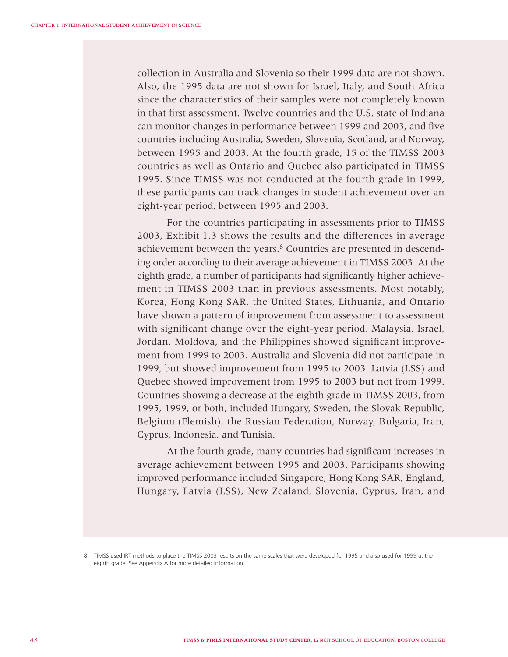collection in Australia and Slovenia so their 1999 data are not shown. Also, the 1995 data are not shown for Israel, Italy, and South Africa since the characteristics of their samples were not completely known in that first assessment. Twelve countries and the U.S. state of Indiana can monitor changes in performance between 1999 and 2003, and five countries including Australia, Sweden, Slovenia, Scotland, and Norway, between 1995 and 2003. At the fourth grade, 15 of the TIMSS 2003 countries as well as Ontario and Quebec also participated in TIMSS 1995. Since TIMSS was not conducted at the fourth grade in 1999, these participants can track changes in student achievement over an eight-year period, between 1995 and 2003.

For the countries participating in assessments prior to TIMSS 2003, Exhibit 1.3 shows the results and the differences in average achievement between the years.<sup>8</sup> Countries are presented in descending order according to their average achievement in TIMSS 2003. At the eighth grade, a number of participants had significantly higher achievement in TIMSS 2003 than in previous assessments. Most notably, Korea, Hong Kong SAR, the United States, Lithuania, and Ontario have shown a pattern of improvement from assessment to assessment with significant change over the eight-year period. Malaysia, Israel, Jordan, Moldova, and the Philippines showed significant improvement from 1999 to 2003. Australia and Slovenia did not participate in 1999, but showed improvement from 1995 to 2003. Latvia (LSS) and Quebec showed improvement from 1995 to 2003 but not from 1999. Countries showing a decrease at the eighth grade in TIMSS 2003, from 1995, 1999, or both, included Hungary, Sweden, the Slovak Republic, Belgium (Flemish), the Russian Federation, Norway, Bulgaria, Iran, Cyprus, Indonesia, and Tunisia.

At the fourth grade, many countries had significant increases in average achievement between 1995 and 2003. Participants showing improved performance included Singapore, Hong Kong SAR, England, Hungary, Latvia (LSS), New Zealand, Slovenia, Cyprus, Iran, and

<sup>8</sup> TIMSS used IRT methods to place the TIMSS 2003 results on the same scales that were developed for 1995 and also used for 1999 at the eighth grade. See Appendix A for more detailed information.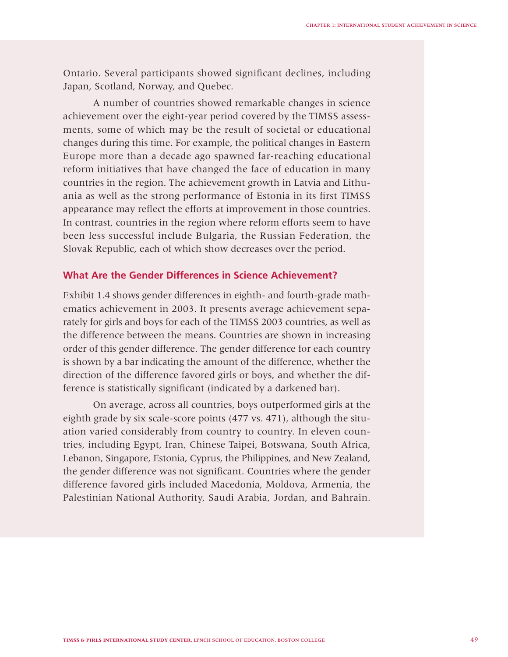Ontario. Several participants showed significant declines, including Japan, Scotland, Norway, and Quebec.

A number of countries showed remarkable changes in science achievement over the eight-year period covered by the TIMSS assessments, some of which may be the result of societal or educational changes during this time. For example, the political changes in Eastern Europe more than a decade ago spawned far-reaching educational reform initiatives that have changed the face of education in many countries in the region. The achievement growth in Latvia and Lithuania as well as the strong performance of Estonia in its first TIMSS appearance may reflect the efforts at improvement in those countries. In contrast, countries in the region where reform efforts seem to have been less successful include Bulgaria, the Russian Federation, the Slovak Republic, each of which show decreases over the period.

## **What Are the Gender Differences in Science Achievement?**

Exhibit 1.4 shows gender differences in eighth- and fourth-grade mathematics achievement in 2003. It presents average achievement separately for girls and boys for each of the TIMSS 2003 countries, as well as the difference between the means. Countries are shown in increasing order of this gender difference. The gender difference for each country is shown by a bar indicating the amount of the difference, whether the direction of the difference favored girls or boys, and whether the difference is statistically significant (indicated by a darkened bar).

On average, across all countries, boys outperformed girls at the eighth grade by six scale-score points (477 vs. 471), although the situation varied considerably from country to country. In eleven countries, including Egypt, Iran, Chinese Taipei, Botswana, South Africa, Lebanon, Singapore, Estonia, Cyprus, the Philippines, and New Zealand, the gender difference was not significant. Countries where the gender difference favored girls included Macedonia, Moldova, Armenia, the Palestinian National Authority, Saudi Arabia, Jordan, and Bahrain.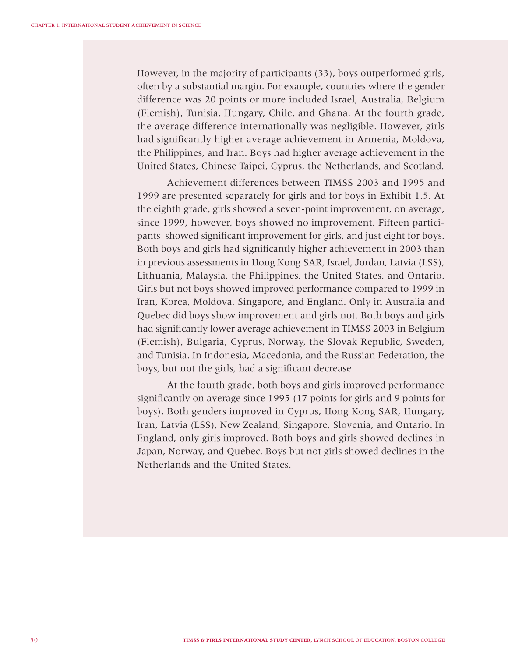However, in the majority of participants (33), boys outperformed girls, often by a substantial margin. For example, countries where the gender difference was 20 points or more included Israel, Australia, Belgium (Flemish), Tunisia, Hungary, Chile, and Ghana. At the fourth grade, the average difference internationally was negligible. However, girls had significantly higher average achievement in Armenia, Moldova, the Philippines, and Iran. Boys had higher average achievement in the United States, Chinese Taipei, Cyprus, the Netherlands, and Scotland.

Achievement differences between TIMSS 2003 and 1995 and 1999 are presented separately for girls and for boys in Exhibit 1.5. At the eighth grade, girls showed a seven-point improvement, on average, since 1999, however, boys showed no improvement. Fifteen participants showed significant improvement for girls, and just eight for boys. Both boys and girls had significantly higher achievement in 2003 than in previous assessments in Hong Kong SAR, Israel, Jordan, Latvia (LSS), Lithuania, Malaysia, the Philippines, the United States, and Ontario. Girls but not boys showed improved performance compared to 1999 in Iran, Korea, Moldova, Singapore, and England. Only in Australia and Quebec did boys show improvement and girls not. Both boys and girls had significantly lower average achievement in TIMSS 2003 in Belgium (Flemish), Bulgaria, Cyprus, Norway, the Slovak Republic, Sweden, and Tunisia. In Indonesia, Macedonia, and the Russian Federation, the boys, but not the girls, had a significant decrease.

At the fourth grade, both boys and girls improved performance significantly on average since 1995 (17 points for girls and 9 points for boys). Both genders improved in Cyprus, Hong Kong SAR, Hungary, Iran, Latvia (LSS), New Zealand, Singapore, Slovenia, and Ontario. In England, only girls improved. Both boys and girls showed declines in Japan, Norway, and Quebec. Boys but not girls showed declines in the Netherlands and the United States.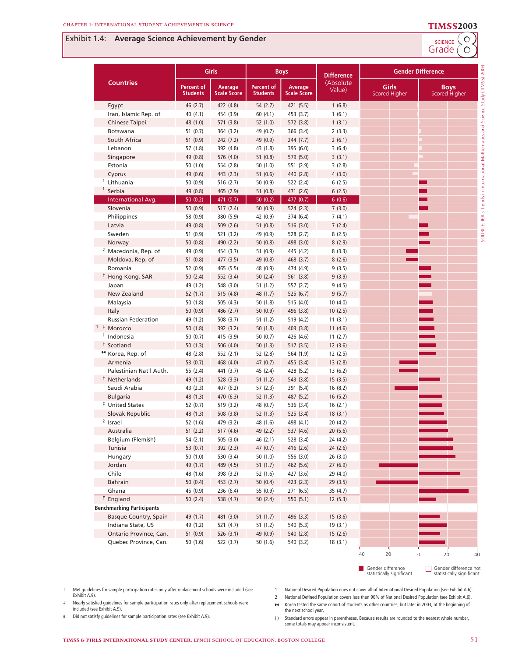## **Exhibit 1.4: Average Science Achievement by Gender**<br>Grade (O



|                                      |                               | Girls                         |                                      | <b>Boys</b>                   | <b>Difference</b>    |                                      | <b>Gender Difference</b>     |
|--------------------------------------|-------------------------------|-------------------------------|--------------------------------------|-------------------------------|----------------------|--------------------------------------|------------------------------|
| <b>Countries</b>                     | Percent of<br><b>Students</b> | Average<br><b>Scale Score</b> | <b>Percent of</b><br><b>Students</b> | Average<br><b>Scale Score</b> | (Absolute)<br>Value) | <b>Girls</b><br><b>Scored Higher</b> | <b>Boys</b><br>Scored Higher |
| Egypt                                | 46(2.7)                       | 422 (4.8)                     | 54(2.7)                              | 421 (5.5)                     | 1(6.8)               |                                      |                              |
| Iran, Islamic Rep. of                | 40 (4.1)                      | 454 (3.9)                     | 60(4.1)                              | 453 (3.7)                     | 1(6.1)               |                                      |                              |
| Chinese Taipei                       | 48 (1.0)                      | 571 (3.8)                     | 52 (1.0)                             | 572 (3.8)                     | 1(3.1)               |                                      |                              |
| Botswana                             | 51 $(0.7)$                    | 364 (3.2)                     | 49 (0.7)                             | 366 (3.4)                     | 2(3.3)               |                                      |                              |
| South Africa                         | 51 (0.9)                      | 242 (7.2)                     | 49 (0.9)                             | 244 (7.7)                     | 2(6.1)               |                                      |                              |
| Lebanon                              | 57(1.8)                       | 392 (4.8)                     | 43 (1.8)                             | 395 (6.0)                     | 3(6.4)               |                                      |                              |
| Singapore                            | 49 (0.8)                      | 576 (4.0)                     | 51(0.8)                              | 579 (5.0)                     | 3(3.1)               |                                      |                              |
| Estonia                              | 50(1.0)                       | 554 (2.8)                     | 50(1.0)                              | 551 (2.9)                     | 3(2.8)               |                                      |                              |
| Cyprus                               | 49 (0.6)                      | 443 (2.3)                     | 51(0.6)                              | 440 (2.8)                     | 4(3.0)               |                                      |                              |
| <sup>1</sup> Lithuania               | 50(0.9)                       | 516(2.7)                      | 50 (0.9)                             | 522 (2.4)                     | 6(2.5)               |                                      |                              |
| Serbia                               | 49 (0.8)                      | 465 (2.9)                     | 51(0.8)                              | 471 (2.6)                     | 6(2.5)               |                                      |                              |
| International Avg.                   | 50(0.2)                       | 471 (0.7)                     | 50(0.2)                              | 477 (0.7)                     | 6(0.6)               |                                      |                              |
| Slovenia                             | 50(0.9)                       | 517 (2.4)                     | 50(0.9)                              | 524(2.3)                      | 7(3.0)               |                                      |                              |
| Philippines                          | 58 (0.9)                      | 380 (5.9)                     | 42 (0.9)                             | 374 (6.4)                     | 7(4.1)               |                                      |                              |
| Latvia                               | 49 (0.8)                      | 509 (2.6)                     | 51(0.8)                              | 516 (3.0)                     | 7(2.4)               |                                      |                              |
| Sweden                               | 51(0.9)                       | 521 (3.2)                     | 49 (0.9)                             | 528 (2.7)                     | 8(2.5)               |                                      |                              |
| Norway                               | 50(0.8)                       | 490 (2.2)                     | 50(0.8)                              | 498 (3.0)                     | 8(2.9)               |                                      |                              |
| <sup>2</sup> Macedonia, Rep. of      | 49 (0.9)                      | 454 (3.7)                     | 51 (0.9)                             | 445 (4.2)                     | 8(3.3)               |                                      |                              |
| Moldova, Rep. of<br>Romania          | 51(0.8)                       | 477 (3.5)                     | 49 (0.8)<br>48 (0.9)                 | 468 (3.7)                     | 8(2.6)               |                                      |                              |
|                                      | 52 (0.9)                      | 465 (5.5)                     |                                      | 474 (4.9)                     | 9(3.5)               |                                      |                              |
| <sup>†</sup> Hong Kong, SAR<br>Japan | 50(2.4)<br>49 (1.2)           | 552 (3.4)<br>548 (3.0)        | 50(2.4)<br>51 (1.2)                  | 561 (3.8)<br>557 (2.7)        | 9(3.9)<br>9(4.5)     |                                      |                              |
| New Zealand                          | 52(1.7)                       | 515 (4.8)                     | 48 (1.7)                             | 525 (6.7)                     | 9(5.7)               |                                      |                              |
| Malaysia                             | 50 (1.8)                      | 505(4.3)                      | 50 (1.8)                             | 515 (4.0)                     | 10(4.0)              |                                      |                              |
| Italy                                | 50(0.9)                       | 486 (2.7)                     | 50 (0.9)                             | 496 (3.8)                     | 10(2.5)              |                                      |                              |
| <b>Russian Federation</b>            | 49 (1.2)                      | 508 (3.7)                     | 51(1.2)                              | 519 (4.2)                     | 11(3.1)              |                                      |                              |
| $1$ $\pm$ Morocco                    | 50 (1.8)                      | 392 (3.2)                     | 50(1.8)                              | 403 (3.8)                     | 11(4.6)              |                                      |                              |
| <sup>1</sup> Indonesia               | 50(0.7)                       | 415 (3.9)                     | 50 (0.7)                             | 426 (4.6)                     | 11(2.7)              |                                      |                              |
| <sup>†</sup> Scotland                | 50(1.3)                       | 506 (4.0)                     | 50(1.3)                              | 517(3.5)                      | 12(3.6)              |                                      |                              |
| <sup>**</sup> Korea, Rep. of         | 48 (2.8)                      | 552 (2.1)                     | 52 (2.8)                             | 564 (1.9)                     | 12(2.5)              |                                      |                              |
| Armenia                              | 53 $(0.7)$                    | 468 (4.0)                     | 47(0.7)                              | 455 (3.4)                     | 13(2.8)              |                                      |                              |
| Palestinian Nat'l Auth.              | 55 (2.4)                      | 441 (3.7)                     | 45 (2.4)                             | 428 (5.2)                     | 13(6.2)              |                                      |                              |
| <sup>†</sup> Netherlands             | 49 (1.2)                      | 528 (3.3)                     | 51(1.2)                              | 543 (3.8)                     | 15(3.5)              |                                      |                              |
| Saudi Arabia                         | 43 (2.3)                      | 407 (6.2)                     | 57(2.3)                              | 391 (5.4)                     | 16(8.2)              |                                      |                              |
| <b>Bulgaria</b>                      | 48 (1.3)                      | 470 (6.3)                     | 52(1.3)                              | 487 (5.2)                     | 16(5.2)              |                                      |                              |
| <sup>‡</sup> United States           | 52 $(0.7)$                    | 519 (3.2)                     | 48 (0.7)                             | 536 (3.4)                     | 16(2.1)              |                                      |                              |
| Slovak Republic                      | 48 (1.3)                      | 508 (3.8)                     | 52(1.3)                              | 525 (3.4)                     | 18(3.1)              |                                      |                              |
| $2$ Israel                           | 52 (1.6)                      | 479 (3.2)                     | 48 (1.6)                             | 498 (4.1)                     | 20(4.2)              |                                      |                              |
| Australia                            | 51(2.2)                       | 517 (4.6)                     | 49 (2.2)                             | 537 (4.6)                     | 20(5.6)              |                                      |                              |
| Belgium (Flemish)                    | 54 (2.1)                      | 505 (3.0)                     | 46 (2.1)                             | 528 (3.4)                     | 24 (4.2)             |                                      |                              |
| Tunisia                              | 53 (0.7)                      | 392 (2.3)                     | 47 (0.7)                             | 416 (2.6)                     | 24(2.6)              |                                      |                              |
| Hungary                              | 50(1.0)                       | 530 (3.4)                     | 50(1.0)                              | 556 (3.0)                     | 26(3.0)              |                                      |                              |
| Jordan                               | 49 (1.7)                      | 489 (4.5)                     | 51(1.7)                              | 462 (5.6)                     | 27 (6.9)             |                                      |                              |
| Chile                                | 48 (1.6)                      | 398 (3.2)                     | 52 (1.6)                             | 427 (3.6)                     | 29 (4.0)             |                                      |                              |
| Bahrain                              | 50(0.4)                       | 453 (2.7)                     | 50(0.4)                              | 423 (2.3)                     | 29 (3.5)             |                                      |                              |
| Ghana                                | 45 (0.9)                      | 236 (6.4)                     | 55 (0.9)                             | 271 (6.5)                     | 35 (4.7)             |                                      |                              |
| <sup>#</sup> England                 | 50(2.4)                       | 538 (4.7)                     | 50(2.4)                              | 550 (5.1)                     | 12(5.3)              |                                      |                              |
| <b>Benchmarking Participants</b>     |                               |                               |                                      |                               |                      |                                      |                              |
| Basque Country, Spain                | 49 (1.7)                      | 481 (3.0)                     | 51(1.7)                              | 496 (3.3)                     | 15(3.6)              |                                      |                              |
| Indiana State, US                    | 49 (1.2)                      | 521 (4.7)                     | 51 (1.2)                             | 540 (5.3)                     | 19(3.1)              |                                      |                              |
| Ontario Province, Can.               | 51(0.9)                       | 526 (3.1)                     | 49 (0.9)                             | 540 (2.8)                     | 15(2.6)              |                                      |                              |
| Quebec Province, Can.                | 50(1.6)                       | 522 (3.7)                     | 50 (1.6)                             | 540 (3.2)                     | 18(3.1)              |                                      |                              |
|                                      |                               |                               |                                      |                               |                      | 20<br>40                             | $\circ$<br>20<br>40          |

Gender difference statistically significant

Gender difference not statistically significant

† Met guidelines for sample participation rates only after replacement schools were included (see Exhibit A.9).

 $\ddagger$  Nearly satisfied guidelines for sample participation rates only after replacement schools were included (see Exhibit A.9).

¶ Did not satisfy guidelines for sample participation rates (see Exhibit A.9).

- 1 National Desired Population does not cover all of International Desired Population (see Exhibit A.6).
- 2 National Defined Population covers less than 90% of National Desired Population (see Exhibit A.6). ¿ Korea tested the same cohort of students as other countries, but later in 2003, at the beginning of the next school year.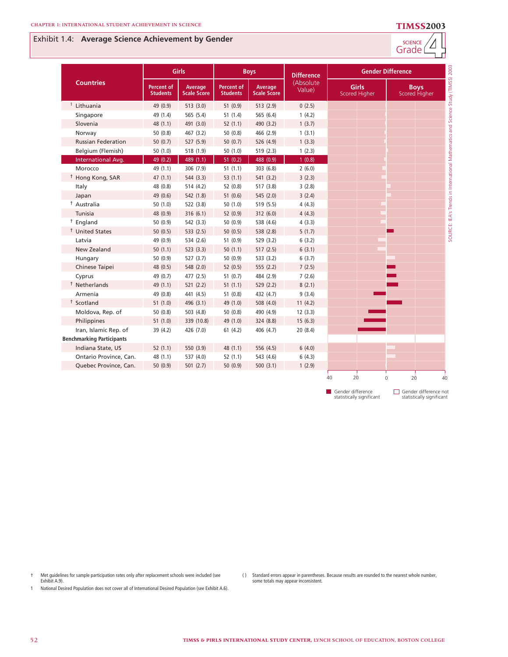### **4** Exhibit 1.4: **Average Science Achievement by Gender**

| <b>SCIENCE</b><br>rao<br>٠e٠ |  |
|------------------------------|--|
|                              |  |

|                                  |                                      | <b>Girls</b>                  |                                      | <b>Boys</b>                   | <b>Difference</b>    |                               | <b>Gender Difference</b> |                              |
|----------------------------------|--------------------------------------|-------------------------------|--------------------------------------|-------------------------------|----------------------|-------------------------------|--------------------------|------------------------------|
| <b>Countries</b>                 | <b>Percent of</b><br><b>Students</b> | Average<br><b>Scale Score</b> | <b>Percent of</b><br><b>Students</b> | Average<br><b>Scale Score</b> | (Absolute)<br>Value) | <b>Girls</b><br>Scored Higher |                          | <b>Boys</b><br>Scored Higher |
| $1$ Lithuania                    | 49 (0.9)                             | 513(3.0)                      | 51(0.9)                              | 513 (2.9)                     | 0(2.5)               |                               |                          |                              |
| Singapore                        | 49 (1.4)                             | 565 (5.4)                     | 51(1.4)                              | 565 (6.4)                     | 1(4.2)               |                               |                          |                              |
| Slovenia                         | 48 (1.1)                             | 491 (3.0)                     | 52(1.1)                              | 490 (3.2)                     | 1(3.7)               |                               |                          |                              |
| Norway                           | 50(0.8)                              | 467 (3.2)                     | 50(0.8)                              | 466 (2.9)                     | 1(3.1)               |                               |                          |                              |
| <b>Russian Federation</b>        | 50(0.7)                              | 527 (5.9)                     | 50(0.7)                              | 526 (4.9)                     | 1(3.3)               |                               |                          |                              |
| Belgium (Flemish)                | 50 (1.0)                             | 518 (1.9)                     | 50(1.0)                              | 519(2.3)                      | 1(2.3)               |                               |                          |                              |
| International Avg.               | 49 (0.2)                             | 489 (1.1)                     | 51(0.2)                              | 488 (0.9)                     | 1(0.8)               |                               |                          |                              |
| Morocco                          | 49 (1.1)                             | 306 (7.9)                     | 51(1.1)                              | 303 (6.8)                     | 2(6.0)               |                               |                          |                              |
| <sup>†</sup> Hong Kong, SAR      | 47(1.1)                              | 544 (3.3)                     | 53(1.1)                              | 541 (3.2)                     | 3(2.3)               |                               |                          |                              |
| Italy                            | 48 (0.8)                             | 514(4.2)                      | 52 (0.8)                             | 517 (3.8)                     | 3(2.8)               |                               |                          |                              |
| Japan                            | 49 (0.6)                             | 542 (1.8)                     | 51(0.6)                              | 545 (2.0)                     | 3(2.4)               |                               |                          |                              |
| <sup>†</sup> Australia           | 50(1.0)                              | 522 (3.8)                     | 50(1.0)                              | 519 (5.5)                     | 4(4.3)               |                               |                          |                              |
| Tunisia                          | 48 (0.9)                             | 316(6.1)                      | 52 (0.9)                             | 312 (6.0)                     | 4(4.3)               |                               |                          |                              |
| <sup>†</sup> England             | 50 (0.9)                             | 542 (3.3)                     | 50 (0.9)                             | 538 (4.6)                     | 4(3.3)               |                               |                          |                              |
| <sup>†</sup> United States       | 50(0.5)                              | 533(2.5)                      | 50(0.5)                              | 538 (2.8)                     | 5(1.7)               |                               |                          |                              |
| Latvia                           | 49 (0.9)                             | 534 (2.6)                     | 51(0.9)                              | 529 (3.2)                     | 6(3.2)               |                               |                          |                              |
| <b>New Zealand</b>               | 50(1.1)                              | 523(3.3)                      | 50(1.1)                              | 517(2.5)                      | 6(3.1)               |                               |                          |                              |
| Hungary                          | 50 (0.9)                             | 527(3.7)                      | 50(0.9)                              | 533 (3.2)                     | 6(3.7)               |                               |                          |                              |
| Chinese Taipei                   | 48 (0.5)                             | 548 (2.0)                     | 52(0.5)                              | 555 (2.2)                     | 7(2.5)               |                               |                          |                              |
| Cyprus                           | 49 (0.7)                             | 477 (2.5)                     | 51(0.7)                              | 484 (2.9)                     | 7(2.6)               |                               |                          |                              |
| <sup>†</sup> Netherlands         | 49 (1.1)                             | 521(2.2)                      | 51(1.1)                              | 529 (2.2)                     | 8(2.1)               |                               |                          |                              |
| Armenia                          | 49 (0.8)                             | 441 (4.5)                     | 51(0.8)                              | 432 (4.7)                     | 9(3.4)               |                               |                          |                              |
| <sup>†</sup> Scotland            | 51(1.0)                              | 496 (3.1)                     | 49 (1.0)                             | 508 (4.0)                     | 11(4.2)              |                               |                          |                              |
| Moldova, Rep. of                 | 50(0.8)                              | 503 (4.8)                     | 50(0.8)                              | 490 (4.9)                     | 12(3.3)              |                               |                          |                              |
| Philippines                      | 51(1.0)                              | 339 (10.8)                    | 49 (1.0)                             | 324 (8.8)                     | 15(6.3)              |                               |                          |                              |
| Iran, Islamic Rep. of            | 39 (4.2)                             | 426 (7.0)                     | 61(4.2)                              | 406 (4.7)                     | 20(8.4)              |                               |                          |                              |
| <b>Benchmarking Participants</b> |                                      |                               |                                      |                               |                      |                               |                          |                              |
| Indiana State, US                | 52(1.1)                              | 550 (3.9)                     | 48 (1.1)                             | 556 (4.5)                     | 6(4.0)               |                               |                          |                              |
| Ontario Province, Can.           | 48 (1.1)                             | 537 (4.0)                     | 52(1.1)                              | 543 (4.6)                     | 6(4.3)               |                               |                          |                              |
| Quebec Province, Can.            | 50(0.9)                              | 501(2.7)                      | 50(0.9)                              | 500(3.1)                      | 1(2.9)               |                               |                          |                              |
|                                  |                                      |                               |                                      |                               |                      | 40<br>20                      | 0                        | 20<br>40                     |

Gender difference statistically significant

Gender difference not statistically significant

† Met guidelines for sample participation rates only after replacement schools were included (see Exhibit A.9).

( ) Standard errors appear in parentheses. Because results are rounded to the nearest whole number, some totals may appear inconsistent.

1 National Desired Population does not cover all of International Desired Population (see Exhibit A.6).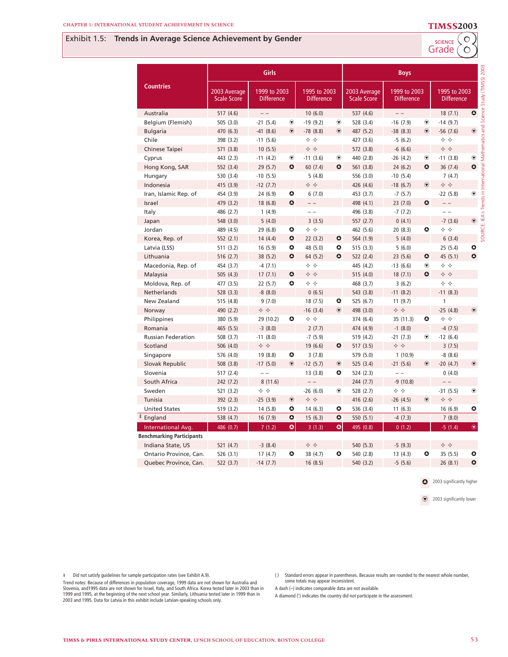### **8** Exhibit 1.5: **Trends in Average Science Achievement by Gender**

Grade (O SCIENCE

| <b>Countries</b>                 | Girls                              |                                   |               |                                     |               | <b>Boys</b>                        |                                   |                |                                     |                |
|----------------------------------|------------------------------------|-----------------------------------|---------------|-------------------------------------|---------------|------------------------------------|-----------------------------------|----------------|-------------------------------------|----------------|
|                                  | 2003 Average<br><b>Scale Score</b> | 1999 to 2003<br><b>Difference</b> |               | 1995 to 2003<br><b>Difference</b>   |               | 2003 Average<br><b>Scale Score</b> | 1999 to 2003<br><b>Difference</b> |                | 1995 to 2003<br><b>Difference</b>   |                |
| Australia                        | 517 (4.6)                          | $- -$                             |               | 10(6.0)                             |               | 537 (4.6)                          | $=$ $-$                           |                | 18(7.1)                             | $\bullet$      |
| Belgium (Flemish)                | 505 (3.0)                          | $-21(5.4)$                        | $^\circledR$  | $-19(9.2)$                          | $\circledast$ | 528 (3.4)                          | $-16(7.9)$                        | $^\circledR$   | $-14(9.7)$                          |                |
| <b>Bulgaria</b>                  | 470 (6.3)                          | $-41(8.6)$                        | $\circledast$ | $-78(8.8)$                          | $\circledast$ | 487 (5.2)                          | $-38(8.3)$                        | $\circledast$  | $-56(7.6)$                          | $\circledast$  |
| Chile                            | 398 (3.2)                          | $-11(5.6)$                        |               | ❖ ❖                                 |               | 427 (3.6)                          | $-5(6.2)$                         |                | ❖ ❖                                 |                |
| Chinese Taipei                   | 571 (3.8)                          | 10(5.5)                           |               | ♦ ♦                                 |               | 572 (3.8)                          | $-6(6.6)$                         |                |                                     |                |
| Cyprus                           | 443 (2.3)                          | $-11(4.2)$                        | $^\circledR$  | $-11(3.6)$                          | $\circledast$ | 440 (2.8)                          | $-26(4.2)$                        | $^\circledR$   | $-11(3.8)$                          | $^\circledR$   |
| Hong Kong, SAR                   | 552 (3.4)                          | 29(5.7)                           | $\bullet$     | 60(7.4)                             | $\bullet$     | 561 (3.8)                          | 24(6.2)                           | $\bullet$      | 36(7.4)                             | $\bullet$      |
| Hungary                          | 530 (3.4)                          | $-10(5.5)$                        |               | 5(4.8)                              |               | 556 (3.0)                          | $-10(5.4)$                        |                | 7(4.7)                              |                |
| Indonesia                        | 415 (3.9)                          | $-12(7.7)$                        |               | ❖ ❖                                 |               | 426 (4.6)                          | $-18(6.7)$                        | $^{\circledR}$ | ❖ ❖                                 |                |
| Iran, Islamic Rep. of            | 454 (3.9)                          | 24 (6.9)                          | ٥             | 6(7.0)                              |               | 453 (3.7)                          | $-7(5.7)$                         |                | $-22(5.8)$                          | $\circledast$  |
| Israel                           | 479 (3.2)                          | 18 (6.8)                          | $\bullet$     | $ -$                                |               | 498 (4.1)                          | 23(7.0)                           | $\bullet$      | $ -$                                |                |
| Italy                            | 486 (2.7)                          | 1(4.9)                            |               | $=$ $-$                             |               | 496 (3.8)                          | $-7(7.2)$                         |                | $=$ $-$                             |                |
| Japan                            | 548 (3.0)                          | 5(4.0)                            |               | 3(3.5)                              |               | 557 (2.7)                          | 0(4.1)                            |                | $-7(3.6)$                           | $\circledast$  |
| Jordan                           | 489 (4.5)                          | 29 (6.8)                          | ۰             | $\Leftrightarrow$ $\Leftrightarrow$ |               | 462 (5.6)                          | 20(8.3)                           | $\bullet$      | $\Leftrightarrow$ $\Leftrightarrow$ |                |
| Korea, Rep. of                   | 552 (2.1)                          | 14(4.4)                           | $\bullet$     | 22(3.2)                             | $\bullet$     | 564 (1.9)                          | 5(4.0)                            |                | 6(3.4)                              |                |
| Latvia (LSS)                     | 511 (3.2)                          | 16(5.9)                           | $\bullet$     | 48 (5.0)                            | $\bullet$     | 515 (3.3)                          | 5(6.0)                            |                | 25(5.4)                             | ۰              |
| Lithuania                        | 516 (2.7)                          | 38 (5.2)                          | $\bullet$     | 64 (5.2)                            | $\bullet$     | 522 (2.4)                          | 23(5.6)                           | $\bullet$      | 45 (5.1)                            | $\bullet$      |
| Macedonia, Rep. of               | 454 (3.7)                          | $-4(7.1)$                         |               | $\Leftrightarrow$ $\Leftrightarrow$ |               | 445 (4.2)                          | $-13(6.6)$                        | $^\circledR$   | ❖ ❖                                 |                |
| Malaysia                         | 505 (4.3)                          | 17(7.1)                           | $\bullet$     | ❖ ❖                                 |               | 515 (4.0)                          | 18(7.1)                           | $\bullet$      | ❖ ❖                                 |                |
| Moldova, Rep. of                 | 477 (3.5)                          | 22(5.7)                           | ٥             | ❖ ❖                                 |               | 468 (3.7)                          | 3(6.2)                            |                | ❖ ❖                                 |                |
| <b>Netherlands</b>               | 528 (3.3)                          | $-8(8.0)$                         |               | 0(6.5)                              |               | 543 (3.8)                          | $-11(8.2)$                        |                | $-11(8.3)$                          |                |
| New Zealand                      | 515 (4.8)                          | 9(7.0)                            |               | 18 (7.5)                            | $\bullet$     | 525 (6.7)                          | 11(9.7)                           |                | $\mathbf{1}$                        |                |
| Norway                           | 490 (2.2)                          |                                   |               | $-16(3.4)$                          | $\circledast$ | 498 (3.0)                          | ❖ ❖                               |                | $-25(4.8)$                          | $\circledast$  |
| Philippines                      | 380 (5.9)                          | 29 (10.2)                         | ٥             | ❖ ❖                                 |               | 374 (6.4)                          | 35 (11.3)                         | ٥              | ❖ ❖                                 |                |
| Romania                          | 465 (5.5)                          | $-3(8.0)$                         |               | 2(7.7)                              |               | 474 (4.9)                          | $-1(8.0)$                         |                | $-4(7.5)$                           |                |
| <b>Russian Federation</b>        | 508 (3.7)                          | $-11(8.0)$                        |               | $-7(5.9)$                           |               | 519 (4.2)                          | $-21(7.3)$                        | $^\circledR$   | $-12(6.4)$                          |                |
| Scotland                         | 506 (4.0)                          | → →                               |               | 19(6.6)                             | $\bullet$     | 517(3.5)                           | ♦ ♦                               |                | 3(7.5)                              |                |
| Singapore                        | 576 (4.0)                          | 19 (8.8)                          | $\bullet$     | 3(7.8)                              |               | 579 (5.0)                          | 1(10.9)                           |                | $-8(8.6)$                           |                |
| Slovak Republic                  | 508 (3.8)                          | $-17(5.0)$                        | $\circledast$ | $-12(5.7)$                          | $\circledast$ | 525 (3.4)                          | $-21(5.6)$                        | $\circledast$  | $-20(4.7)$                          | $^{\circ}$     |
| Slovenia                         | 517 (2.4)                          | $=$ $-$                           |               | 13(3.8)                             | ۰             | 524 (2.3)                          |                                   |                | 0(4.0)                              |                |
| South Africa                     | 242 (7.2)                          | 8(11.6)                           |               | $ -$                                |               | 244 (7.7)                          | $-9(10.8)$                        |                | $=$ $-$                             |                |
| Sweden                           | 521 (3.2)                          | ❖ ❖                               |               | $-26(6.0)$                          | $\circledast$ | 528 (2.7)                          | ❖ ❖                               |                | $-31(5.5)$                          | $^\circledR$   |
| Tunisia                          | 392 (2.3)                          | $-25(3.9)$                        | $^{\circ}$    | ♦ ♦                                 |               | 416 (2.6)                          | $-26(4.5)$                        | $^{\circ}$     | ❖ ❖                                 |                |
| <b>United States</b>             | 519 (3.2)                          | 14 (5.8)                          | ٥             | 14(6.3)                             | ۰             | 536 (3.4)                          | 11(6.3)                           |                | 16(6.9)                             | ۰              |
| <sup>‡</sup> England             | 538 (4.7)                          | 16(7.9)                           | $\bullet$     | 15(6.3)                             | $\bullet$     | 550 (5.1)                          | $-4(7.3)$                         |                | 7(8.0)                              |                |
| International Avg.               | 486 (0.7)                          | 7(1.2)                            | $\bullet$     | 3(1.3)                              | $\bullet$     | 495 (0.8)                          | 0(1.2)                            |                | $-5(1.4)$                           | $\circledcirc$ |
| <b>Benchmarking Participants</b> |                                    |                                   |               |                                     |               |                                    |                                   |                |                                     |                |
| Indiana State, US                | 521 (4.7)                          | $-3(8.4)$                         |               | ❖ ❖                                 |               | 540 (5.3)                          | $-5(9.3)$                         |                | ♦ ♦                                 |                |
| Ontario Province, Can.           | 526 (3.1)                          | 17(4.7)                           | ٥             | 38 (4.7)                            | ۰             | 540 (2.8)                          | 13(4.3)                           | ٥              | 35(5.5)                             | ٥              |
| Quebec Province, Can.            | 522 (3.7)                          | $-14(7.7)$                        |               | 16(8.5)                             |               | 540 (3.2)                          | $-5(5.6)$                         |                | 26(8.1)                             | $\bullet$      |

**O** 2003 significantly higher

2003 significantly lower

¶ Did not satisfy guidelines for sample participation rates (see Exhibit A.9).

( ) Standard errors appear in parentheses. Because results are rounded to the nearest whole number, some totals may appear inconsistent.

Trend notes: Because of differences in population coverage, 1999 data are not shown for Australia and Slovenia, and1995 data are not shown for Israel, Italy, and South Africa. Korea tested later in 2003 than in<br>1999 and 1995, at the beginning of the next school year. Similarly, Lithuania tested later in 1999 than in<br>2003 a

- A dash (–) indicates comparable data are not available. A diamond (') indicates the country did not participate in the assessment.
- **TIMSS & PIRLS INTERNATIONAL STUDY CENTER, LYNCH SCHOOL OF EDUCATION, BOSTON COLLEGE** 53